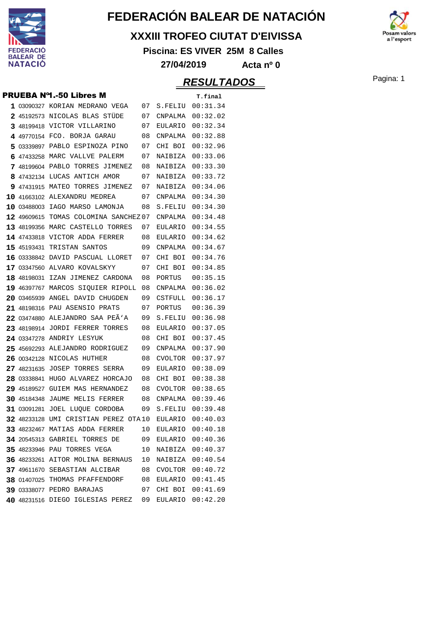

#### **XXXIII TROFEO CIUTAT D'EIVISSA**

**Piscina: ES VIVER 25M 8 Calles**



|   |             | <b>PRUEBA Nº1.-50 Libres M</b>                     |    |                     | T.final          |
|---|-------------|----------------------------------------------------|----|---------------------|------------------|
|   |             | 1 03090327 KORIAN MEDRANO VEGA                     | 07 | S.FELIU             | 00:31.34         |
|   |             | 2 45192573 NICOLAS BLAS STÜDE                      | 07 | CNPALMA             | 00:32.02         |
|   |             | 3 48199418 VICTOR VILLARINO                        | 07 | EULARIO             | 00:32.34         |
|   |             | 4 49770154 FCO. BORJA GARAU                        | 08 | CNPALMA             | 00:32.88         |
| 5 | 03339897    | PABLO ESPINOZA PINO                                | 07 | CHI BOI             | 00:32.96         |
| 6 |             | 47433258 MARC VALLVE PALERM                        | 07 | NAIBIZA             | 00:33.06         |
| 7 |             | 48199604 PABLO TORRES JIMENEZ                      | 08 | NAIBIZA             | 00:33.30         |
|   |             | 8 47432134 LUCAS ANTICH AMOR                       | 07 | NAIBIZA             | 00:33.72         |
| 9 |             | 47431915 MATEO TORRES JIMENEZ                      | 07 | NAIBIZA             | 00:34.06         |
|   |             | 10 41663102 ALEXANDRU MEDREA                       | 07 | CNPALMA             | 00:34.30         |
|   |             | 10 03488003 IAGO MARSO LAMONJA                     | 08 | S.FELIU             | 00:34.30         |
|   | 12 49609615 | TOMAS COLOMINA SANCHEZ07                           |    | CNPALMA             | 00:34.48         |
|   | 13 48199356 | MARC CASTELLO TORRES                               | 07 | EULARIO             | 00:34.55         |
|   |             | 14 47433818 VICTOR ADDA FERRER                     | 08 | EULARIO             | 00:34.62         |
|   | 15 45193431 | TRISTAN SANTOS                                     | 09 | CNPALMA             | 00:34.67         |
|   |             | 16 03338842 DAVID PASCUAL LLORET                   | 07 | CHI BOI             | 00:34.76         |
|   |             | 17 03347560 ALVARO KOVALSKYY                       | 07 | CHI BOI             | 00:34.85         |
|   |             | 18 48198031 IZAN JIMENEZ CARDONA                   | 08 | PORTUS              | 00:35.15         |
|   |             | 19 46397767 MARCOS SIQUIER RIPOLL                  | 08 | CNPALMA             | 00:36.02         |
|   |             | 20 03465939 ANGEL DAVID CHUGDEN                    | 09 | CSTFULL             | 00:36.17         |
|   | 21 48198316 | PAU ASENSIO PRATS                                  | 07 | PORTUS              | 00:36.39         |
|   |             | 22 03474880 ALEJANDRO SAA PEA'A                    | 09 | S.FELIU             | 00:36.98         |
|   |             | 23 48198914 JORDI FERRER TORRES                    | 08 | EULARIO             | 00:37.05         |
|   |             | 24 03347278 ANDRIY LESYUK                          | 08 | CHI BOI             | 00:37.45         |
|   | 25 45692293 | ALEJANDRO RODRIGUEZ                                | 09 | CNPALMA             | 00:37.90         |
|   |             | 26 00342128 NICOLAS HUTHER                         | 08 | <b>CVOLTOR</b>      | 00:37.97         |
|   |             | 27 48231635 JOSEP TORRES SERRA                     | 09 | EULARIO             | 00:38.09         |
|   | 28 03338841 | HUGO ALVAREZ HORCAJO                               | 08 | CHI BOI             | 00:38.38         |
|   | 29 45189527 | GUIEM MAS HERNANDEZ                                | 08 | <b>CVOLTOR</b>      | 00:38.65         |
|   | 30 45184348 | JAUME MELIS FERRER                                 | 08 | CNPALMA             | 00:39.46         |
|   | 31 03091281 | JOEL LUQUE CORDOBA                                 | 09 | S.FELIU             | 00:39.48         |
|   |             | 32 48233128 UMI CRISTIAN PEREZ OTA10               |    | EULARIO             | 00:40.03         |
|   |             | <b>33 48232467 MATIAS ADDA FERRER</b>              | 10 |                     | EULARIO 00:40.18 |
|   |             | <b>34 20545313 GABRIEL TORRES DE 09</b>            |    |                     | EULARIO 00:40.36 |
|   |             | <b>35 48233946 PAU TORRES VEGA</b>                 | 10 |                     | NAIBIZA 00:40.37 |
|   |             | 36 48233261 AITOR MOLINA BERNAUS 10                |    |                     | NAIBIZA 00:40.54 |
|   |             | 37 49611670 SEBASTIAN ALCIBAR 68 CVOLTOR 00:40.72  |    |                     |                  |
|   |             | 38 01407025 THOMAS PFAFFENDORF 08 EULARIO 00:41.45 |    |                     |                  |
|   |             | <b>39 03338077 PEDRO BARAJAS</b>                   |    | 07 CHI BOI 00:41.69 |                  |
|   |             | 40 48231516 DIEGO IGLESIAS PEREZ 09                |    |                     | EULARIO 00:42.20 |

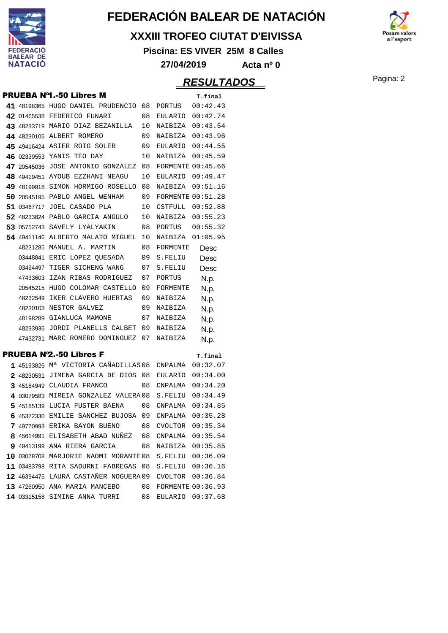

#### **XXXIII TROFEO CIUTAT D'EIVISSA**

**Piscina: ES VIVER 25M 8 Calles**



### **RESULTADOS** Pagina: 2

 $\mathbf{a}$  l'esport

|   |            | <b>PRUEBA Nº1.-50 Libres M</b>                         |    |                          | T.final  |
|---|------------|--------------------------------------------------------|----|--------------------------|----------|
|   |            | 41 48198365 HUGO DANIEL PRUDENCIO 08                   |    | PORTUS                   | 00:42.43 |
|   |            | 42 01465538 FEDERICO FUNARI                            | 08 | EULARIO                  | 00:42.74 |
|   |            | 43 48233719 MARIO DIAZ BEZANILLA                       | 10 | NAIBIZA                  | 00:43.54 |
|   |            | 44 48230105 ALBERT ROMERO                              | 09 | NAIBIZA                  | 00:43.96 |
|   |            | 45 49416424 ASIER ROIG SOLER                           | 09 | EULARIO                  | 00:44.55 |
|   |            | 46 02339553 YANIS TEO DAY                              | 10 | NAIBIZA                  | 00:45.59 |
|   |            | 47 20545036 JOSE ANTONIO GONZALEZ                      | 08 | <b>FORMENTE 00:45.66</b> |          |
|   |            | 48 49419451 AYOUB EZZHANI NEAGU                        | 10 | <b>EULARIO</b>           | 00:49.47 |
|   |            | 49 48199918 SIMON HORMIGO ROSELLO                      | 08 | NAIBIZA                  | 00:51.16 |
|   |            | 50 20545195 PABLO ANGEL WENHAM                         | 09 | <b>FORMENTE 00:51.28</b> |          |
|   |            | 51 03467717 JOEL CASADO PLA                            | 10 | CSTFULL                  | 00:52.88 |
|   |            | 52 48233824 PABLO GARCIA ANGULO                        | 10 | NAIBIZA                  | 00:55.23 |
|   |            | 53 05752743 SAVELY LYALYAKIN                           | 08 | PORTUS                   | 00:55.32 |
|   |            | 54 49411146 ALBERTO MALATO MIGUEL                      | 10 | NAIBIZA                  | 01:05.95 |
|   |            | 48231285 MANUEL A. MARTIN                              | 08 | <b>FORMENTE</b>          | Desc     |
|   |            | 03448841 ERIC LOPEZ OUESADA                            | 09 | S.FELIU                  | Desc     |
|   |            | 03494497 TIGER SICHENG WANG                            | 07 | S.FELIU                  | Desc     |
|   |            | 47433603 IZAN RIBAS RODRIGUEZ                          | 07 | PORTUS                   | N.p.     |
|   |            | 20545215 HUGO COLOMAR CASTELLO                         | 09 | FORMENTE                 | N.p.     |
|   |            | 48232549 IKER CLAVERO HUERTAS                          | 09 | NAIBIZA                  | N.p.     |
|   |            | 48230103 NESTOR GALVEZ                                 | 09 | NAIBIZA                  | N.p.     |
|   |            | 48198289 GIANLUCA MAMONE                               | 07 | NAIBIZA                  | N.p.     |
|   |            | 48233936 JORDI PLANELLS CALBET                         | 09 | NAIBIZA                  | N.p.     |
|   |            | 47432731 MARC ROMERO DOMINGUEZ                         | 07 | NAIBIZA                  | N.p.     |
|   |            | <b>PRUEBA Nº2.-50 Libres F</b>                         |    |                          | T.final  |
|   |            | 1 45193826 Mª VICTORIA CAÑADILLAS 08                   |    | CNPALMA                  | 00:32.07 |
|   | 2 48230531 | JIMENA GARCIA DE DIOS                                  | 08 | EULARIO                  | 00:34.00 |
|   |            | 3 45184949 CLAUDIA FRANCO                              | 08 | CNPALMA                  | 00:34.20 |
| 4 |            | 03079583 MIREIA GONZALEZ VALERA 08                     |    | S.FELIU                  | 00:34.49 |
|   |            | 5 45185139 LUCIA FUSTER BAENA                          | 08 | CNPALMA                  | 00:34.85 |
|   |            | 6 45372330 EMILIE SANCHEZ BUJOSA 09                    |    | CNPALMA                  | 00:35.28 |
|   |            | 7 49770993 ERIKA BAYON BUENO 08 CVOLTOR 00:35.34       |    |                          |          |
|   |            | 8 45614991 ELISABETH ABAD NUÑEZ 08 CNPALMA 00:35.54    |    |                          |          |
|   |            | 9 49413199 ANA RIERA GARCIA 08 NAIBIZA 00:35.85        |    |                          |          |
|   |            | 10 03078708 MARJORIE NAOMI MORANTE 08 S.FELIU 00:36.09 |    |                          |          |
|   |            | 11 03483798 RITA SADURNI FABREGAS 08 S.FELIU 00:36.16  |    |                          |          |
|   |            | 12 46394475 LAURA CASTAÑER NOGUERA 09 CVOLTOR 00:36.84 |    |                          |          |
|   |            | 13 47260950 ANA MARIA MANCEBO                          |    | 08 FORMENTE 00:36.93     |          |
|   |            | <b>14</b> 03315158 SIMINE ANNA TURRI 08                |    | EULARIO 00:37.68         |          |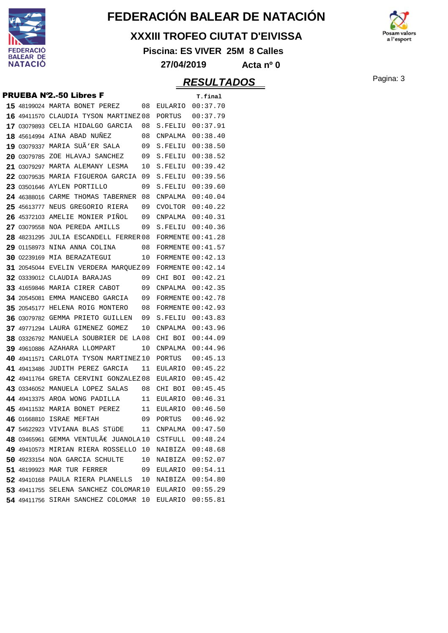

#### **XXXIII TROFEO CIUTAT D'EIVISSA**

**Piscina: ES VIVER 25M 8 Calles**



**27/04/2019 Acta nº 0**

### **RESULTADOS** Pagina: 3

#### **PRUEBA Nº2.-50 Libres F** T.final

|  | 15 48199024 MARTA BONET PEREZ               | 08 | EULARIO 00:37.70         |          |
|--|---------------------------------------------|----|--------------------------|----------|
|  | 16 49411570 CLAUDIA TYSON MARTINEZ08        |    | PORTUS 00:37.79          |          |
|  | 17 03079893 CELIA HIDALGO GARCIA 08         |    | S.FELIU 00:37.91         |          |
|  | <b>18 45614994 AINA ABAD NUNEZ</b>          | 08 | CNPALMA                  | 00:38.40 |
|  | 19 03079337 MARIA SUÃ'ER SALA 09            |    | S.FELIU                  | 00:38.50 |
|  | 20 03079785 ZOE HLAVAJ SANCHEZ              | 09 | S.FELIU 00:38.52         |          |
|  | 21 03079297 MARTA ALEMANY LESMA             | 10 | S.FELIU 00:39.42         |          |
|  | 22 03079535 MARIA FIGUEROA GARCIA           | 09 | S.FELIU 00:39.56         |          |
|  | 23 03501646 AYLEN PORTILLO                  | 09 | S.FELIU 00:39.60         |          |
|  | 24 46388016 CARME THOMAS TABERNER 08        |    | CNPALMA  00:40.04        |          |
|  | 25 45613777 NEUS GREGORIO RIERA             | 09 | CVOLTOR $00:40.22$       |          |
|  | 26 45372103 AMELIE MONIER PINOL 09          |    | $CNPALMA$ $00:40.31$     |          |
|  | 27 03079558 NOA PEREDA AMILLS               | 09 | S.FELIU 00:40.36         |          |
|  | 28 48231295 JULIA ESCANDELL FERRER 08       |    | <b>FORMENTE 00:41.28</b> |          |
|  | <b>29 01158973 NINA ANNA COLINA</b>         | 08 | <b>FORMENTE 00:41.57</b> |          |
|  | 30 02239169 MIA BERAZATEGUI                 | 10 | FORMENTE 00:42.13        |          |
|  | 31 20545044 EVELIN VERDERA MARQUEZ09        |    | FORMENTE $00:42.14$      |          |
|  | 32 03339012 CLAUDIA BARAJAS                 | 09 | CHI BOI 00:42.21         |          |
|  | 33 41659846 MARIA CIRER CABOT               | 09 | $CNPALMA$ $00:42.35$     |          |
|  | 34 20545081 EMMA MANCEBO GARCIA 09          |    | FORMENTE $00:42.78$      |          |
|  | 35 20545177 HELENA ROIG MONTERO             | 08 | <b>FORMENTE 00:42.93</b> |          |
|  | 36 03079782 GEMMA PRIETO GUILLEN            | 09 | S.FELIU 00:43.83         |          |
|  | 37 49771294 LAURA GIMENEZ GOMEZ             | 10 | CNPALMA  00:43.96        |          |
|  | 38 03326792 MANUELA SOUBRIER DE LA08        |    | CHI BOI 00:44.09         |          |
|  | 39 49610886 AZAHARA LLOMPART                | 10 | $CNPALMA$ $00:44.96$     |          |
|  | 40 49411571 CARLOTA TYSON MARTINEZ10        |    | PORTUS                   | 00:45.13 |
|  | <b>41 49413486</b> JUDITH PEREZ GARCIA      | 11 | EULARIO 00:45.22         |          |
|  | 42 49411764 GRETA CERVINI GONZALEZ 08       |    | EULARIO 00:45.42         |          |
|  | 43 03346052 MANUELA LOPEZ SALAS 08          |    | CHI BOI                  | 00:45.45 |
|  | 44 49413375 AROA WONG PADILLA 11            |    | EULARIO                  | 00:46.31 |
|  | 45 49411532 MARIA BONET PEREZ               | 11 | EULARIO                  | 00:46.50 |
|  | 46 01668810 ISRAE MEFTAH                    | 09 | PORTUS                   | 00:46.92 |
|  | 47 54622923 VIVIANA BLAS STÜDE              | 11 | CNPALMA  00:47.50        |          |
|  | <b>48 03465961 GEMMA VENTULAE JUANOLA10</b> |    | CSTFULL                  | 00:48.24 |
|  | 49 49410573 MIRIAN RIERA ROSSELLO           | 10 | NAIBIZA                  | 00:48.68 |
|  | 50 49233154 NOA GARCIA SCHULTE              | 10 | NAIBIZA                  | 00:52.07 |
|  | 51 48199923 MAR TUR FERRER                  | 09 | EULARIO                  | 00:54.11 |
|  | 52 49410168 PAULA RIERA PLANELLS            | 10 | NAIBIZA                  | 00:54.80 |
|  | 53 49411755 SELENA SANCHEZ COLOMAR10        |    | EULARIO                  | 00:55.29 |
|  | 54 49411756 SIRAH SANCHEZ COLOMAR 10        |    | <b>EULARIO</b>           | 00:55.81 |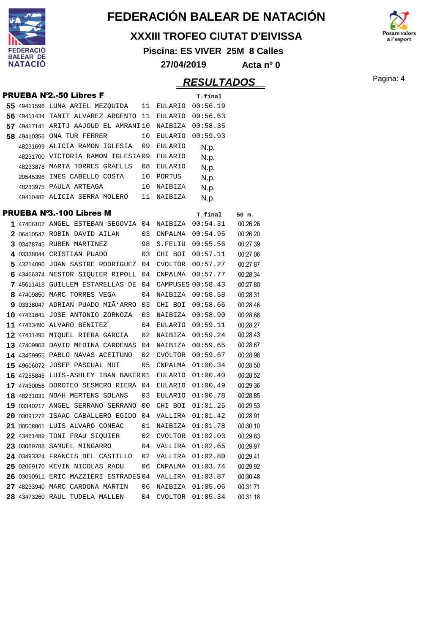

#### **XXXIII TROFEO CIUTAT D'EIVISSA**

**Piscina: ES VIVER 25M 8 Calles**



**27/04/2019 Acta nº 0**

# **RESULTADOS** Pagina: 4

a l'esport

|  |                                                         |    |                  | , ,_vv_, , , ,    |          |
|--|---------------------------------------------------------|----|------------------|-------------------|----------|
|  | <b>PRUEBA Nº2.-50 Libres F</b>                          |    |                  | T.final           |          |
|  | 55 49411596 LUNA ARIEL MEZQUIDA 11 EULARIO 00:56.19     |    |                  |                   |          |
|  | 56 49411434 TANIT ALVAREZ ARGENTO 11                    |    | EULARIO          | 00:56.63          |          |
|  | 57 49417141 ARITJ AAJOUD EL AMRANI10                    |    | NAIBIZA 00:58.35 |                   |          |
|  | 58 49410356 ONA TUR FERRER                              | 10 | EULARIO          | 00:59.93          |          |
|  | 48231699 ALICIA RAMON IGLESIA 09                        |    | EULARIO          | N.p.              |          |
|  | 48231700 VICTORIA RAMON IGLESIA09                       |    | EULARIO          | N.p.              |          |
|  | 48233878 MARTA TORRES GRAELLS                           | 08 | <b>EULARIO</b>   | N.p.              |          |
|  | 20545396 INES CABELLO COSTA 10                          |    | PORTUS           | N.p.              |          |
|  | 48233975 PAULA ARTEAGA                                  | 10 | NAIBIZA          | N.p.              |          |
|  | 49410482 ALICIA SERRA MOLERO 11 NAIBIZA                 |    |                  | N.p.              |          |
|  | <b>PRUEBA Nº3.-100 Libres M</b>                         |    |                  | T.final           | 50 m.    |
|  | 1 47406107 ANGEL ESTEBAN SEGOVIA 04 NAIBIZA 00:54.31    |    |                  |                   | 00:26.26 |
|  | $2.06410547$ ROBIN DAVID AILAN $03.$ CNPALMA $00:54.95$ |    |                  |                   | 00:26.20 |
|  | 3 03478745 RUBEN MARTINEZ<br>98                         |    | S.FELIU          | 00:55.56          | 00:27.39 |
|  | 4 03338044 CRISTIAN PUADO                               |    | 03 CHI BOI       | 00:57.11          | 00:27.06 |
|  | 5 43214090 JOAN SASTRE RODRIGUEZ 04 CVOLTOR 00:57.27    |    |                  |                   | 00:27.87 |
|  | 6 43466374 NESTOR SIQUIER RIPOLL 04 CNPALMA             |    |                  | 00:57.77          | 00:28.34 |
|  | 7 45611418 GUILLEM ESTARELLAS DE 04                     |    |                  | CAMPUSES 00:58.43 | 00:27.80 |
|  | 8 47409850 MARC TORRES VEGA                             | 04 | NAIBIZA          | 00:58.58          | 00:28.31 |
|  | 9 03338047 ADRIAN PUADO MIÃ'ARRO 03                     |    | CHI BOI          | 00:58.66          | 00:28.46 |
|  | 10 47431841 JOSE ANTONIO ZORNOZA 03                     |    | NAIBIZA          | 00:58.90          | 00:28.68 |
|  | 11 47433490 ALVARO BENITEZ<br>$\sim$ 04                 |    | EULARIO          | 00:59.11          | 00:28.27 |
|  | 12 47431495 MIQUEL RIERA GARCIA 02                      |    | NAIBIZA          | 00:59.24          | 00:28.43 |
|  | 13 47409903 DAVID MEDINA CARDENAS 04 NAIBIZA 00:59.65   |    |                  |                   | 00:28.67 |
|  | 14 43459955 PABLO NAVAS ACEITUNO 02 CVOLTOR             |    |                  | 00:59.67          | 00:28.98 |
|  | 15 49606072 JOSEP PASCUAL MUT                           | 05 | CNPALMA          | 01:00.34          | 00:28.50 |
|  | 16 47255846 LUIS-ASHLEY IBAN BAKER 01                   |    | EULARIO          | 01:00.40          | 00:28.52 |
|  | 17 47430056 DOROTEO SESMERO RIERA 04                    |    | EULARIO          | 01:00.49          | 00:29.36 |
|  | 18 48231031 NOAH MERTENS SOLANS                         | 03 | EULARIO          | 01:00.78          | 00:28.85 |
|  | 19 03340217 ANGEL SERRANO SERRANO 00                    |    | CHI BOI          | 01:01.25          | 00:29.53 |
|  | 20 03091272 ISAAC CABALLERO EGIDO 04                    |    | VALLIRA          | 01:01.42          | 00:28.91 |
|  | 21 00508861 LUIS ALVARO CONEAC                          | 01 | NAIBIZA          | 01:01.78          | 00:30.10 |
|  | 22 43461489 TONI FRAU SIQUIER                           | 02 | CVOLTOR          | 01:02.03          | 00:29.63 |
|  | 23 03089788 SAMUEL MINGARRO                             | 04 | VALLIRA          | 01:02.65          | 00:29.97 |
|  | 24 03493324 FRANCIS DEL CASTILLO                        | 02 | VALLIRA          | 01:02.80          | 00:29.41 |
|  | 25 02069170 KEVIN NICOLAS RADU                          | 06 | CNPALMA          | 01:03.74          | 00:29.92 |
|  | 26 03090911 ERIC MAZZIERI ESTRADES 04                   |    | VALLIRA          | 01:03.87          | 00:30.48 |
|  | 27 48233940 MARC CARDONA MARTIN                         | 06 | NAIBIZA          | 01:05.06          | 00:31.71 |
|  | 28 43473260 RAUL TUDELA MALLEN                          | 04 | CVOLTOR          | 01:05.34          | 00:31.18 |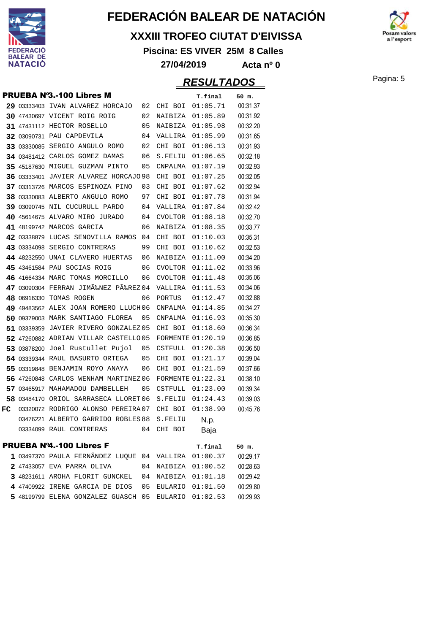

#### **XXXIII TROFEO CIUTAT D'EIVISSA**

**Piscina: ES VIVER 25M 8 Calles**



**27/04/2019 Acta nº 0**

### **RESULTADOS** Pagina: 5

|    |             | <b>PRUEBA Nº3.-100 Libres M</b>       |    |                | T.final                  | 50 m.    |
|----|-------------|---------------------------------------|----|----------------|--------------------------|----------|
|    |             | 29 03333403 IVAN ALVAREZ HORCAJO      | 02 | CHI BOI        | 01:05.71                 | 00:31.37 |
|    |             | 30 47430697 VICENT ROIG ROIG          | 02 | NAIBIZA        | 01:05.89                 | 00:31.92 |
|    |             | 31 47431112 HECTOR ROSELLO            | 05 | NAIBIZA        | 01:05.98                 | 00:32.20 |
|    |             | 32 03090731 PAU CAPDEVILA             | 04 | VALLIRA        | 01:05.99                 | 00:31.65 |
|    |             | 33 03330085 SERGIO ANGULO ROMO        | 02 | CHI BOI        | 01:06.13                 | 00:31.93 |
|    |             | 34 03481412 CARLOS GOMEZ DAMAS        | 06 | S.FELIU        | 01:06.65                 | 00:32.18 |
|    |             | 35 45187630 MIGUEL GUZMAN PINTO       | 05 | CNPALMA        | 01:07.19                 | 00:32.93 |
|    | 36 03333401 | <b>JAVIER ALVAREZ HORCAJO 98</b>      |    | CHI BOI        | 01:07.25                 | 00:32.05 |
|    |             | 37 03313726 MARCOS ESPINOZA PINO      | 03 | CHI BOI        | 01:07.62                 | 00:32.94 |
|    |             | 38 03330083 ALBERTO ANGULO ROMO       | 97 | CHI BOI        | 01:07.78                 | 00:31.94 |
|    |             | 39 03090745 NIL CUCURULL PARDO        | 04 | VALLIRA        | 01:07.84                 | 00:32.42 |
|    |             | 40 45614675 ALVARO MIRO JURADO        | 04 | <b>CVOLTOR</b> | 01:08.18                 | 00:32.70 |
|    |             | 41 48199742 MARCOS GARCIA             | 06 | NAIBIZA        | 01:08.35                 | 00:33.77 |
|    |             | 42 03338879 LUCAS SENOVILLA RAMOS     | 04 | CHI BOI        | 01:10.03                 | 00:35.31 |
|    |             | 43 03334098 SERGIO CONTRERAS          | 99 | CHI BOI        | 01:10.62                 | 00:32.53 |
|    |             | 44 48232550 UNAI CLAVERO HUERTAS      | 06 | NAIBIZA        | 01:11.00                 | 00:34.20 |
|    |             | 45 43461584 PAU SOCIAS ROIG           | 06 | CVOLTOR        | 01:11.02                 | 00:33.96 |
|    |             | 46 41664334 MARC TOMAS MORCILLO       | 06 | <b>CVOLTOR</b> | 01:11.48                 | 00:35.06 |
|    |             | 47 03090304 FERRAN JIMÉNEZ PÉREZ 04   |    | VALLIRA        | 01:11.53                 | 00:34.06 |
|    |             | 48 06916330 TOMAS ROGEN               | 06 | PORTUS         | 01:12.47                 | 00:32.88 |
|    |             | 49 49483562 ALEX JOAN ROMERO LLUCH 06 |    | CNPALMA        | 01:14.85                 | 00:34.27 |
|    |             | 50 09379003 MARK SANTIAGO FLOREA      | 05 | CNPALMA        | 01:16.93                 | 00:35.30 |
|    |             | 51 03339359 JAVIER RIVERO GONZALEZ 05 |    | CHI BOI        | 01:18.60                 | 00:36.34 |
|    |             | 52 47260882 ADRIAN VILLAR CASTELLO05  |    |                | <b>FORMENTE 01:20.19</b> | 00:36.85 |
|    |             | 53 03878200 Joel Rustullet Pujol      | 05 | CSTFULL        | 01:20.38                 | 00:36.50 |
|    |             | 54 03339344 RAUL BASURTO ORTEGA       | 05 | CHI BOI        | 01:21.17                 | 00:39.04 |
|    |             | 55 03319848 BENJAMIN ROYO ANAYA       | 06 | CHI BOI        | 01:21.59                 | 00:37.66 |
|    |             | 56 47260848 CARLOS WENHAM MARTINEZ 06 |    |                | <b>FORMENTE 01:22.31</b> | 00:38.10 |
|    |             | 57 03465917 MAHAMADOU DAMBELLEH       | 05 | CSTFULL        | 01:23.00                 | 00:39.34 |
|    |             | 58 03484170 ORIOL SARRASECA LLORET 06 |    | S.FELIU        | 01:24.43                 | 00:39.03 |
| FC |             | 03320072 RODRIGO ALONSO PEREIRA 07    |    | CHI BOI        | 01:38.90                 | 00:45.76 |
|    |             | 03476221 ALBERTO GARRIDO ROBLES 88    |    | S.FELIU        | N.p.                     |          |
|    |             | 03334099 RAUL CONTRERAS               | 04 | CHI BOI        | Baja                     |          |
|    |             | <b>PRUEBA Nº4.-100 Libres F</b>       |    |                | T.final                  | 50 m.    |
|    |             | 1 03497370 PAULA FERNÃNDEZ LUQUE      | 04 | VALLIRA        | 01:00.37                 | 00:29.17 |
|    |             | 2 47433057 EVA PARRA OLIVA            | 04 |                | NAIBIZA 01:00.52         | 00:28.63 |
|    |             | 3 48231611 AROHA FLORIT GUNCKEL       | 04 |                | NAIBIZA 01:01.18         | 00:29.42 |
|    |             | 4 47409922 IRENE GARCIA DE DIOS       | 05 |                | EULARIO 01:01.50         | 00:29.80 |

48199799 ELENA GONZALEZ GUASCH 05 EULARIO 01:02.53 00:29.93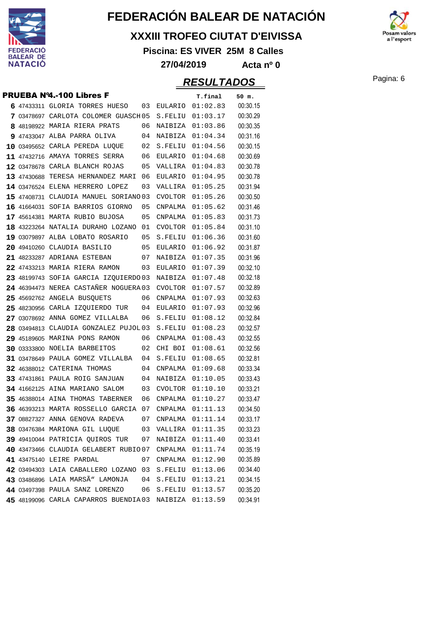

#### **XXXIII TROFEO CIUTAT D'EIVISSA**

**Piscina: ES VIVER 25M 8 Calles**



**27/04/2019 Acta nº 0**

|             | <b>PRUEBA Nº4.-100 Libres F</b>       |    |                  | T.final  | 50 m.    |
|-------------|---------------------------------------|----|------------------|----------|----------|
|             | 6 47433311 GLORIA TORRES HUESO        | 03 | EULARIO          | 01:02.83 | 00:30.15 |
|             | 7 03478697 CARLOTA COLOMER GUASCH 05  |    | S.FELIU          | 01:03.17 | 00:30.29 |
|             | 8 48198922 MARIA RIERA PRATS          | 06 | NAIBIZA          | 01:03.86 | 00:30.35 |
|             | 9 47433047 ALBA PARRA OLIVA           | 04 | NAIBIZA          | 01:04.34 | 00:31.16 |
|             | 10 03495652 CARLA PEREDA LUQUE        | 02 | S.FELIU          | 01:04.56 | 00:30.15 |
|             | 11 47432716 AMAYA TORRES SERRA        | 06 | EULARIO          | 01:04.68 | 00:30.69 |
|             | 12 03478678 CARLA BLANCH ROJAS        | 05 | VALLIRA          | 01:04.83 | 00:30.78 |
| 13 47430688 | TERESA HERNANDEZ MARI                 | 06 | EULARIO          | 01:04.95 | 00:30.78 |
|             | 14 03476524 ELENA HERRERO LOPEZ       | 03 | VALLIRA          | 01:05.25 | 00:31.94 |
|             | 15 47408731 CLAUDIA MANUEL SORIANO 03 |    | CVOLTOR          | 01:05.26 | 00:30.50 |
|             | 16 41664031 SOFIA BARRIOS GIORNO      | 05 | CNPALMA          | 01:05.62 | 00:31.46 |
|             | 17 45614381 MARTA RUBIO BUJOSA        | 05 | CNPALMA          | 01:05.83 | 00:31.73 |
|             | 18 43223264 NATALIA DURAHO LOZANO     | 01 | CVOLTOR          | 01:05.84 | 00:31.10 |
|             | 19 03079897 ALBA LOBATO ROSARIO       | 05 | S.FELIU          | 01:06.36 | 00:31.60 |
|             | 20 49410260 CLAUDIA BASILIO           | 05 | EULARIO          | 01:06.92 | 00:31.87 |
|             | 21 48233287 ADRIANA ESTEBAN           | 07 | NAIBIZA          | 01:07.35 | 00:31.96 |
|             | 22 47433213 MARIA RIERA RAMON         | 03 | EULARIO          | 01:07.39 | 00:32.10 |
|             | 23 48199743 SOFIA GARCIA IZQUIERDO 03 |    | NAIBIZA          | 01:07.48 | 00:32.18 |
|             | 24 46394473 NEREA CASTAÑER NOGUERA 03 |    | <b>CVOLTOR</b>   | 01:07.57 | 00:32.89 |
|             | 25 45692762 ANGELA BUSQUETS           | 06 | CNPALMA          | 01:07.93 | 00:32.63 |
|             | 25 48230956 CARLA IZQUIERDO TUR       | 04 | EULARIO          | 01:07.93 | 00:32.96 |
|             | 27 03078692 ANNA GOMEZ VILLALBA       | 06 | S.FELIU          | 01:08.12 | 00:32.84 |
|             | 28 03494813 CLAUDIA GONZALEZ PUJOL 03 |    | S.FELIU          | 01:08.23 | 00:32.57 |
|             | 29 45189605 MARINA PONS RAMON         | 06 | CNPALMA          | 01:08.43 | 00:32.55 |
|             | 30 03333800 NOELIA BARBEITOS          | 02 | CHI BOI          | 01:08.61 | 00:32.56 |
|             | 31 03478649 PAULA GOMEZ VILLALBA      | 04 | S.FELIU          | 01:08.65 | 00:32.81 |
|             | 32 46388012 CATERINA THOMAS           | 04 | CNPALMA          | 01:09.68 | 00:33.34 |
|             | 33 47431861 PAULA ROIG SANJUAN        | 04 | NAIBIZA          | 01:10.05 | 00:33.43 |
|             | 34 41662125 AINA MARIANO SALOM        | 03 | <b>CVOLTOR</b>   | 01:10.10 | 00:33.21 |
|             | 35 46388014 AINA THOMAS TABERNER      | 06 | CNPALMA          | 01:10.27 | 00:33.47 |
|             | 36 46393213 MARTA ROSSELLO GARCIA     | 07 | CNPALMA          | 01:11.13 | 00:34.50 |
|             | 37 08827327 ANNA GENOVA RADEVA        | 07 | CNPALMA          | 01:11.14 | 00:33.17 |
|             | 38 03476384 MARIONA GIL LUQUE         | 03 | VALLIRA          | 01:11.35 | 00:33.23 |
|             | 39 49410044 PATRICIA OUIROS TUR       | 07 | NAIBIZA          | 01:11.40 | 00:33.41 |
|             | 40 43473466 CLAUDIA GELABERT RUBIO07  |    | CNPALMA          | 01:11.74 | 00:35.19 |
|             | 41 43475140 LEIRE PARDAL              | 07 | CNPALMA          | 01:12.90 | 00:35.89 |
|             | 42 03494303 LAIA CABALLERO LOZANO     | 03 | S.FELIU          | 01:13.06 | 00:34.40 |
|             | 43 03486896 LAIA MARSÃ" LAMONJA       | 04 | ${\tt S. FELIU}$ | 01:13.21 | 00:34.15 |
|             | 44 03497398 PAULA SANZ LORENZO        | 06 | S.FELIU          | 01:13.57 | 00:35.20 |
|             | 45 48199096 CARLA CAPARROS BUENDIA03  |    | NAIBIZA          | 01:13.59 | 00:34.91 |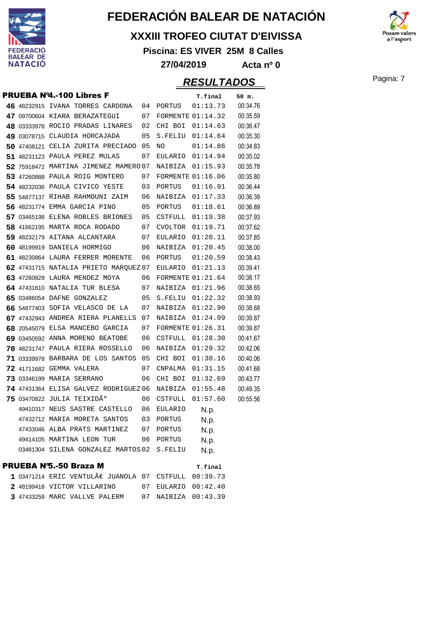

#### **XXXIII TROFEO CIUTAT D'EIVISSA**

**Piscina: ES VIVER 25M 8 Calles**

**27/04/2019 Acta nº 0**

|  | <b>PRUEBA Nº4.-100 Libres F</b>                    |    |                     | T.final                  | 50 m.    |
|--|----------------------------------------------------|----|---------------------|--------------------------|----------|
|  | 46 48232915 IVANA TORRES CARDONA                   | 04 | PORTUS              | 01:13.73                 | 00:34.76 |
|  | 47 09700604 KIARA BERAZATEGUI                      | 07 |                     | <b>FORMENTE 01:14.32</b> | 00:35.59 |
|  | 48 03333978 ROCIO PRADAS LINARES                   | 02 |                     | CHI BOI 01:14.63         | 00:36.47 |
|  | 49 03078715 CLAUDIA HORCAJADA                      | 05 |                     | S.FELIU 01:14.64         | 00:35.30 |
|  | 50 47408121 CELIA ZURITA PRECIADO 05               |    | NO.                 | 01:14.86                 | 00:34.83 |
|  | 51 48231123 PAULA PEREZ MULAS                      | 07 |                     | EULARIO 01:14.94         | 00:35.02 |
|  | 52 75918472 MARTINA JIMENEZ MAMERO 07              |    | NAIBIZA             | 01:15.93                 | 00:35.78 |
|  | 53 47260888 PAULA ROIG MONTERO                     | 07 |                     | <b>FORMENTE 01:16.06</b> | 00:35.80 |
|  | 54 48232036 PAULA CIVICO YESTE                     | 03 | PORTUS              | 01:16.91                 | 00:36.44 |
|  | 55 54877137 RIHAB RAHMOUNI ZAIM                    | 06 |                     | NAIBIZA 01:17.33         | 00:36.39 |
|  | 56 48231774 EMMA GARCIA PINO                       | 05 |                     | PORTUS    01:18.61       | 00:36.89 |
|  | 57 03465198 ELENA ROBLES BRIONES                   | 05 |                     | CSTFULL 01:19.38         | 00:37.93 |
|  | 58 41662195 MARTA ROCA RODADO                      | 07 | CVOLTOR             | 01:19.71                 | 00:37.62 |
|  | 59 48232179 AITANA ALCANTARA                       | 07 | EULARIO             | 01:20.11                 | 00:37.85 |
|  | 60 48199919 DANIELA HORMIGO                        | 06 |                     | NAIBIZA 01:20.45         | 00:38.00 |
|  | 61 48230864 LAURA FERRER MORENTE                   | 06 | PORTUS              | 01:20.59                 | 00:38.43 |
|  | 62 47431715 NATALIA PRIETO MARQUEZ 07              |    |                     | EULARIO 01:21.13         | 00:39.41 |
|  | 63 47260829 LAURA MENDEZ MOYA                      | 06 |                     | FORMENTE $01:21.64$      | 00:38.17 |
|  | 64 47431610 NATALIA TUR BLESA                      |    | 07 NAIBIZA 01:21.96 |                          | 00:38.65 |
|  | 65 03486054 DAFNE GONZALEZ                         | 05 |                     | S.FELIU 01:22.32         | 00:38.93 |
|  | 66 54877403 SOFIA VELASCO DE LA                    | 07 |                     | NAIBIZA 01:22.90         | 00:38.68 |
|  | 67 47432943 ANDREA RIERA PLANELLS 07               |    | NAIBIZA             | 01:24.99                 | 00:39.87 |
|  | 68 20545079 ELSA MANCEBO GARCIA                    | 07 |                     | <b>FORMENTE 01:26.31</b> | 00:39.87 |
|  | 69 03450592 ANNA MORENO BEATOBE                    | 06 |                     | CSTFULL 01:28.30         | 00:41.67 |
|  | 70 48231747 PAULA RIERA ROSSELLO                   | 06 |                     | NAIBIZA 01:29.32         | 00:42.06 |
|  | 71 03339978 BARBARA DE LOS SANTOS 05               |    | CHI BOI             | 01:30.16                 | 00:40.06 |
|  | 72 41711682 GEMMA VALERA                           | 07 |                     | CNPALMA 01:31.15         | 00:41.68 |
|  | 73 03346199 MARIA SERRANO                          | 06 | CHI BOI             | 01:32.69                 | 00:43.77 |
|  | 74 47431364 ELISA GALVEZ RODRIGUEZ 06              |    | NAIBIZA 01:55.48    |                          | 00:49.35 |
|  | 75 03470822 JULIA TEIXIDÃ"                         | 06 | CSTFULL             | 01:57.60                 | 00:55.56 |
|  | 49410317 NEUS SASTRE CASTELLO                      | 06 | EULARIO             | N.p.                     |          |
|  | 47432712 MARIA MORETA SANTOS                       | 03 | PORTUS              | N.p.                     |          |
|  | 47433046 ALBA PRATS MARTINEZ 07                    |    | PORTUS              | N.p.                     |          |
|  | 49414105 MARTINA LEON TUR                          | 06 | PORTUS              | N.p.                     |          |
|  | 03481304 SILENA GONZALEZ MARTOS 02 S.FELIU         |    |                     | N.p.                     |          |
|  | <b>PRUEBA N'5.-50 Braza M</b>                      |    |                     | T.final                  |          |
|  | $1$ 03471214 ERIC VENTULÃ $\in$ JUANOLA 07 CSTFULL |    |                     | 00:39.73                 |          |
|  | 2 48199418 VICTOR VILLARINO                        |    | 07 EULARIO 00:42.40 |                          |          |
|  | 3 47433258 MARC VALLVE PALERM                      | 07 | NAIBIZA 00:43.39    |                          |          |

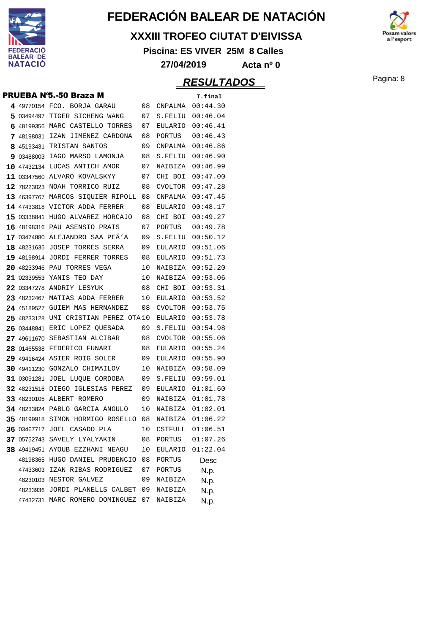

#### **XXXIII TROFEO CIUTAT D'EIVISSA**

**Piscina: ES VIVER 25M 8 Calles**



|  | PRUEBA N°5.-50 Braza M               |    |                | T.final             |
|--|--------------------------------------|----|----------------|---------------------|
|  | 4 49770154 FCO. BORJA GARAU          | 08 | CNPALMA        | 00:44.30            |
|  | 5 03494497 TIGER SICHENG WANG        | 07 | S.FELIU        | 00:46.04            |
|  | 6 48199356 MARC CASTELLO TORRES      | 07 | EULARIO        | 00:46.41            |
|  | 7 48198031 IZAN JIMENEZ CARDONA      | 08 | PORTUS         | 00:46.43            |
|  | 8 45193431 TRISTAN SANTOS            | 09 | CNPALMA        | 00:46.86            |
|  | 9 03488003 IAGO MARSO LAMONJA        | 08 | S.FELIU        | 00:46.90            |
|  | 10 47432134 LUCAS ANTICH AMOR        | 07 | NAIBIZA        | 00:46.99            |
|  | 11 03347560 ALVARO KOVALSKYY         | 07 | CHI BOI        | 00:47.00            |
|  | 12 78223023 NOAH TORRICO RUIZ        | 08 | CVOLTOR        | 00:47.28            |
|  | 13 46397767 MARCOS SIOUIER RIPOLL    | 08 | CNPALMA        | 00:47.45            |
|  | 14 47433818 VICTOR ADDA FERRER       | 08 | EULARIO        | 00:48.17            |
|  | 15 03338841 HUGO ALVAREZ HORCAJO     | 08 | CHI BOI        | 00:49.27            |
|  | 16 48198316 PAU ASENSIO PRATS        | 07 | PORTUS         | 00:49.78            |
|  | 17 03474880 ALEJANDRO SAA PEÄ'A      | 09 | S.FELIU        | 00:50.12            |
|  | 18 48231635 JOSEP TORRES SERRA       | 09 | EULARIO        | 00:51.06            |
|  | 19 48198914 JORDI FERRER TORRES      | 08 | EULARIO        | 00:51.73            |
|  | 20 48233946 PAU TORRES VEGA          | 10 | NAIBIZA        | 00:52.20            |
|  | 21 02339553 YANIS TEO DAY            | 10 | NAIBIZA        | 00:53.06            |
|  | 22 03347278 ANDRIY LESYUK            | 08 | CHI BOI        | 00:53.31            |
|  | 23 48232467 MATIAS ADDA FERRER       | 10 | EULARIO        | 00:53.52            |
|  | 24 45189527 GUIEM MAS HERNANDEZ      | 08 | CVOLTOR        | 00:53.75            |
|  | 25 48233128 UMI CRISTIAN PEREZ OTA10 |    | EULARIO        | 00:53.78            |
|  | 26 03448841 ERIC LOPEZ QUESADA       | 09 | S.FELIU        | 00:54.98            |
|  | 27 49611670 SEBASTIAN ALCIBAR        | 08 | <b>CVOLTOR</b> | 00:55.06            |
|  | 28 01465538 FEDERICO FUNARI          | 08 | EULARIO        | 00:55.24            |
|  | 29 49416424 ASIER ROIG SOLER         | 09 | EULARIO        | 00:55.90            |
|  | 30 49411230 GONZALO CHIMAILOV        | 10 | NAIBIZA        | 00:58.09            |
|  | 31 03091281 JOEL LUQUE CORDOBA       | 09 | S.FELIU        | 00:59.01            |
|  | 32 48231516 DIEGO IGLESIAS PEREZ     | 09 | EULARIO        | 01:01.60            |
|  | <b>33 48230105 ALBERT ROMERO</b>     | 09 | NAIBIZA        | 01:01.78            |
|  | 34 48233824 PABLO GARCIA ANGULO      | 10 | NAIBIZA        | 01:02.01            |
|  | 35 48199918 SIMON HORMIGO ROSELLO 08 |    | NAIBIZA        | 01:06.22            |
|  | 36 03467717 JOEL CASADO PLA          |    |                | 10 CSTFULL 01:06.51 |
|  | 37 05752743 SAVELY LYALYAKIN         | 08 | PORTUS         | 01:07.26            |
|  | 38 49419451 AYOUB EZZHANI NEAGU      | 10 | EULARIO        | 01:22.04            |
|  | 48198365 HUGO DANIEL PRUDENCIO       | 08 | PORTUS         | Desc                |
|  | 47433603 IZAN RIBAS RODRIGUEZ        | 07 | PORTUS         | N.p.                |
|  | 48230103 NESTOR GALVEZ               | 09 | NAIBIZA        | N.p.                |
|  | 48233936 JORDI PLANELLS CALBET       | 09 | NAIBIZA        | N.p.                |
|  | 47432731 MARC ROMERO DOMINGUEZ       | 07 | NAIBIZA        | N.p.                |

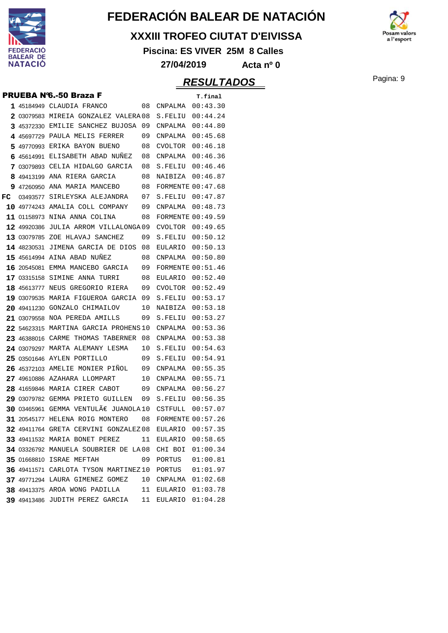

#### **XXXIII TROFEO CIUTAT D'EIVISSA**

**Piscina: ES VIVER 25M 8 Calles**



**27/04/2019 Acta nº 0**

|    |             | <b>PRUEBA N'6.-50 Braza F</b>                                                            |    |                          | T.final            |
|----|-------------|------------------------------------------------------------------------------------------|----|--------------------------|--------------------|
|    |             | 1 45184949 CLAUDIA FRANCO                                                                | 08 | CNPALMA                  | 00:43.30           |
|    |             | 2 03079583 MIREIA GONZALEZ VALERA 08                                                     |    | S.FELIU                  | 00:44.24           |
| 3. |             | 45372330 EMILIE SANCHEZ BUJOSA                                                           | 09 | CNPALMA                  | 00:44.80           |
| 4  | 45697729    | PAULA MELIS FERRER                                                                       | 09 | CNPALMA                  | 00:45.68           |
| 5  | 49770993    | ERIKA BAYON BUENO                                                                        | 08 | <b>CVOLTOR</b>           | 00:46.18           |
| 6  |             | 45614991 ELISABETH ABAD NUNEZ                                                            | 08 | CNPALMA                  | 00:46.36           |
| 7  |             | 03079893 CELIA HIDALGO GARCIA                                                            | 08 | S.FELIU                  | 00:46.46           |
| 8  |             | 49413199 ANA RIERA GARCIA                                                                | 08 | NAIBIZA                  | 00:46.87           |
| 9  |             | 47260950 ANA MARIA MANCEBO                                                               | 08 | <b>FORMENTE 00:47.68</b> |                    |
| FC | 03493577    | SIRLEYSKA ALEJANDRA                                                                      | 07 | S.FELIU                  | 00:47.87           |
|    |             | 10 49774243 AMALIA COLL COMPANY                                                          | 09 | CNPALMA                  | 00:48.73           |
|    |             | 11 01158973 NINA ANNA COLINA                                                             | 08 | <b>FORMENTE 00:49.59</b> |                    |
|    | 12 49920386 | JULIA ARROM VILLALONGA09                                                                 |    | <b>CVOLTOR</b>           | 00:49.65           |
|    | 13 03079785 | ZOE HLAVAJ SANCHEZ                                                                       | 09 | S.FELIU                  | 00:50.12           |
|    |             | 14 48230531 JIMENA GARCIA DE DIOS                                                        | 08 | EULARIO                  | 00:50.13           |
|    |             | <b>15 45614994 AINA ABAD NUÑEZ</b>                                                       | 08 | CNPALMA                  | 00:50.80           |
|    | 16 20545081 | EMMA MANCEBO GARCIA                                                                      | 09 | <b>FORMENTE 00:51.46</b> |                    |
|    |             | 17 03315158 SIMINE ANNA TURRI                                                            | 08 | EULARIO                  | 00:52.40           |
|    |             | 18 45613777 NEUS GREGORIO RIERA                                                          | 09 | CVOLTOR                  | 00:52.49           |
|    |             | 19 03079535 MARIA FIGUEROA GARCIA                                                        | 09 | S.FELIU                  | 00:53.17           |
|    |             | 20 49411230 GONZALO CHIMAILOV                                                            | 10 | NAIBIZA                  | 00:53.18           |
|    | 21 03079558 | NOA PEREDA AMILLS                                                                        | 09 | S.FELIU                  | 00:53.27           |
|    |             | 22 54623315 MARTINA GARCIA PROHENS 10                                                    |    | CNPALMA                  | 00:53.36           |
|    |             | 23 46388016 CARME THOMAS TABERNER                                                        | 08 | CNPALMA                  | 00:53.38           |
|    |             | 24 03079297 MARTA ALEMANY LESMA                                                          | 10 | S.FELIU                  | 00:54.63           |
|    |             | 25 03501646 AYLEN PORTILLO                                                               | 09 | S.FELIU                  | 00:54.91           |
|    |             | 26 45372103 AMELIE MONIER PINOL                                                          | 09 | CNPALMA                  | 00:55.35           |
|    |             | 27 49610886 AZAHARA LLOMPART                                                             | 10 | CNPALMA                  | 00:55.71           |
|    | 28 41659846 | MARIA CIRER CABOT                                                                        | 09 | CNPALMA                  | 00:56.27           |
|    |             | 29 03079782 GEMMA PRIETO GUILLEN                                                         | 09 | S.FELIU                  | 00:56.35           |
|    |             | 30 03465961 GEMMA VENTULÀ JUANOLA 10                                                     |    | CSTFULL                  | 00:57.07           |
|    |             | 31 20545177 HELENA ROIG MONTERO                                                          | 08 | <b>FORMENTE 00:57.26</b> |                    |
|    |             | 32 49411764 GRETA CERVINI GONZALEZ 08                                                    |    | EULARIO                  | 00:57.35           |
|    |             | <b>33 49411532 MARIA BONET PEREZ</b>                                                     | 11 | EULARIO                  | 00:58.65           |
|    |             | 34 03326792 MANUELA SOUBRIER DE LA08 CHI BOI 01:00.34<br><b>35 01668810 ISRAE MEFTAH</b> | 09 | PORTUS                   | 01:00.81           |
|    |             | 36 49411571 CARLOTA TYSON MARTINEZ10 PORTUS                                              |    |                          | 01:01.97           |
|    |             | 37 49771294 LAURA GIMENEZ GOMEZ                                                          |    | 10 CNPALMA               | 01:02.68           |
|    |             | 38 49413375 AROA WONG PADILLA                                                            |    | 11 EULARIO 01:03.78      |                    |
|    |             | 39 49413486 JUDITH PEREZ GARCIA                                                          | 11 |                          | EULARIO $01:04.28$ |
|    |             |                                                                                          |    |                          |                    |

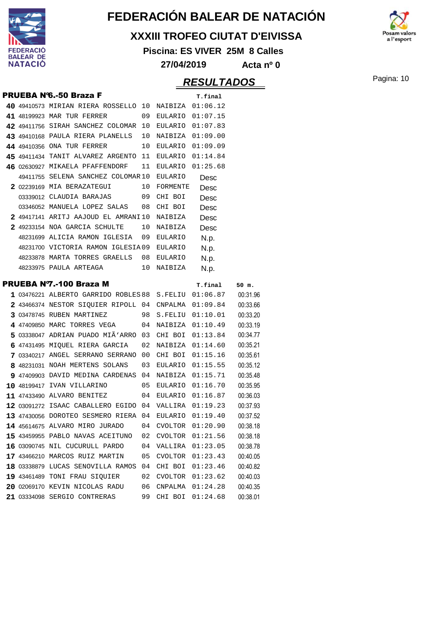

#### **XXXIII TROFEO CIUTAT D'EIVISSA**

**Piscina: ES VIVER 25M 8 Calles**



**27/04/2019 Acta nº 0**

### Pagina: 10 **RESULTADOS**

|  | <b>PRUEBA N'6.-50 Braza F</b>                             |    |                    | T.final             |                      |
|--|-----------------------------------------------------------|----|--------------------|---------------------|----------------------|
|  | 40 49410573 MIRIAN RIERA ROSSELLO $10$ NAIBIZA $01:06.12$ |    |                    |                     |                      |
|  | 41 48199923 MAR TUR FERRER                                | 09 |                    | EULARIO 01:07.15    |                      |
|  | 42 49411756 SIRAH SANCHEZ COLOMAR 10                      |    |                    | EULARIO 01:07.83    |                      |
|  | 43 49410168 PAULA RIERA PLANELLS                          | 10 |                    | NAIBIZA 01:09.00    |                      |
|  | 44 49410356 ONA TUR FERRER                                | 10 |                    | EULARIO 01:09.09    |                      |
|  | 45 49411434 TANIT ALVAREZ ARGENTO 11                      |    | EULARIO            | 01:14.84            |                      |
|  | 46 02630927 MIKAELA PFAFFENDORF                           | 11 | EULARIO            | 01:25.68            |                      |
|  | 49411755 SELENA SANCHEZ COLOMAR10                         |    | EULARIO            | Desc                |                      |
|  | 2 02239169 MIA BERAZATEGUI                                | 10 | FORMENTE           | Desc                |                      |
|  | 03339012 CLAUDIA BARAJAS 09                               |    | CHI BOI            | Desc                |                      |
|  | 03346052 MANUELA LOPEZ SALAS 08 CHI BOI                   |    |                    | Desc                |                      |
|  | 2 49417141 ARITJ AAJOUD EL AMRANI10                       |    | NAIBIZA            | Desc                |                      |
|  | 2 49233154 NOA GARCIA SCHULTE                             | 10 | NAIBIZA            | Desc                |                      |
|  | 48231699 ALICIA RAMON IGLESIA                             | 09 | EULARIO            | N.p.                |                      |
|  | 48231700 VICTORIA RAMON IGLESIA09                         |    | EULARIO            | N.p.                |                      |
|  | 48233878 MARTA TORRES GRAELLS 08                          |    | EULARIO            | N.p.                |                      |
|  | 48233975 PAULA ARTEAGA                                    | 10 | NAIBIZA            | N.p.                |                      |
|  | PRUEBA N7.-100 Braza M                                    |    |                    | T.final             | 50 m.                |
|  | $1$ 03476221 ALBERTO GARRIDO ROBLES 88 S.FELIU $01:06.87$ |    |                    |                     | 00:31.96             |
|  | $2$ 43466374 NESTOR SIOUIER RIPOLL 04 CNPALMA $01:09.84$  |    |                    |                     | 00:33.66             |
|  | 3 03478745 RUBEN MARTINEZ                                 | 98 |                    | S.FELIU 01:10.01    | 00:33.20             |
|  | 4 47409850 MARC TORRES VEGA                               |    |                    | 04 NAIBIZA 01:10.49 | 00:33.19             |
|  | 5 03338047 ADRIAN PUADO MIÃ'ARRO 03                       |    |                    | CHI BOI 01:13.84    | 00:34.77             |
|  | 6 47431495 MIQUEL RIERA GARCIA                            | 02 |                    | NAIBIZA 01:14.60    | 00:35.21             |
|  | 7 03340217 ANGEL SERRANO SERRANO 00                       |    | CHI BOI            | 01:15.16            | 00:35.61             |
|  | 8 48231031 NOAH MERTENS SOLANS                            | 03 | EULARIO            | 01:15.55            | 00:35.12             |
|  | 9 47409903 DAVID MEDINA CARDENAS 04                       |    |                    | NAIBIZA 01:15.71    | 00:35.48             |
|  | 10 48199417 IVAN VILLARINO                                | 05 |                    | EULARIO $01:16.70$  | 00:35.95             |
|  | 11 47433490 ALVARO BENITEZ                                |    |                    | 04 EULARIO 01:16.87 | 00:36.03             |
|  | $12$ 03091272 ISAAC CABALLERO EGIDO 04 VALLIRA 01:19.23   |    |                    |                     | 00:37.93             |
|  | 13 47430056 DOROTEO SESMERO RIERA 04 EULARIO 01:19.40     |    |                    |                     | 00:37.52             |
|  | 14 45614675 ALVARO MIRO JURADO                            | 04 | CVOLTOR            | 01:20.90            | 00:38.18             |
|  | 15 43459955 PABLO NAVAS ACEITUNO                          | 02 | CVOLTOR            | 01:21.56            | 00:38.18             |
|  | 16 03090745 NIL CUCURULL PARDO                            | 04 | VALLIRA            | 01:23.05            | 00:38.78             |
|  |                                                           | 05 | CVOLTOR            | 01:23.43            | 00:40.05             |
|  | 17 43466210 MARCOS RUIZ MARTIN                            |    |                    |                     |                      |
|  | 18 03338879 LUCAS SENOVILLA RAMOS                         | 04 | CHI BOI            | 01:23.46            | 00:40.82             |
|  | 19 43461489 TONI FRAU SIQUIER                             | 02 | CVOLTOR            | 01:23.62            | 00:40.03             |
|  | 20 02069170 KEVIN NICOLAS RADU                            | 06 | CNPALMA<br>CHI BOI | 01:24.28            | 00:40.35<br>00:38.01 |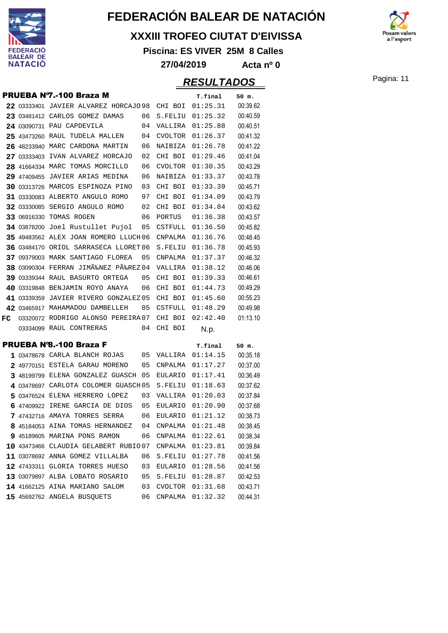

#### **XXXIII TROFEO CIUTAT D'EIVISSA**

**Piscina: ES VIVER 25M 8 Calles**



### Pagina: 11 **RESULTADOS 27/04/2019 Acta nº 0**

|    | PRUEBA N7.-100 Braza M                                                  |          |                           | T.final              | 50 m.                |
|----|-------------------------------------------------------------------------|----------|---------------------------|----------------------|----------------------|
|    | 22 03333401 JAVIER ALVAREZ HORCAJO 98                                   |          | CHI BOI                   | 01:25.31             | 00:39.62             |
|    | 23 03481412 CARLOS GOMEZ DAMAS                                          | 06       | S.FELIU                   | 01:25.32             | 00:40.59             |
|    | 24 03090731 PAU CAPDEVILA                                               | 04       | VALLIRA                   | 01:25.88             | 00:40.51             |
|    | 25 43473260 RAUL TUDELA MALLEN                                          | 04       | CVOLTOR                   | 01:26.37             | 00:41.32             |
|    | 26 48233940 MARC CARDONA MARTIN                                         | 06       | NAIBIZA                   | 01:26.78             | 00:41.22             |
|    | 27 03333403 IVAN ALVAREZ HORCAJO                                        | 02       | CHI BOI                   | 01:29.46             | 00:41.04             |
|    | 28 41664334 MARC TOMAS MORCILLO                                         | 06       | <b>CVOLTOR</b>            | 01:30.35             | 00:43.29             |
|    | 29 47409455 JAVIER ARIAS MEDINA                                         | 06       | NAIBIZA                   | 01:33.37             | 00:43.78             |
|    | 30 03313726 MARCOS ESPINOZA PINO                                        | 03       | CHI BOI                   | 01:33.39             | 00:45.71             |
|    | 31 03330083 ALBERTO ANGULO ROMO                                         | 97       | CHI BOI                   | 01:34.09             | 00:43.79             |
|    | 32 03330085 SERGIO ANGULO ROMO                                          | 02       | CHI BOI                   | 01:34.84             | 00:43.62             |
|    | 33 06916330 TOMAS ROGEN                                                 | 06       | PORTUS                    | 01:36.38             | 00:43.57             |
|    | 34 03878200 Joel Rustullet Pujol                                        | 05       | CSTFULL                   | 01:36.50             | 00:45.82             |
|    | 35 49483562 ALEX JOAN ROMERO LLUCH06                                    |          | CNPALMA                   | 01:36.76             | 00:48.45             |
|    | 36 03484170 ORIOL SARRASECA LLORET 06                                   |          | S.FELIU                   | 01:36.78             | 00:45.93             |
|    | 37 09379003 MARK SANTIAGO FLOREA                                        | 05       | <b>CNPALMA</b>            | 01:37.37             | 00:46.32             |
|    | 38 03090304 FERRAN JIMÉNEZ PÉREZ 04                                     |          | VALLIRA                   | 01:38.12             | 00:46.06             |
|    | 39 03339344 RAUL BASURTO ORTEGA                                         | 05       | CHI BOI                   | 01:39.33             | 00:46.61             |
|    | 40 03319848 BENJAMIN ROYO ANAYA                                         | 06       | CHI BOI                   | 01:44.73             | 00:49.29             |
|    | 41 03339359 JAVIER RIVERO GONZALEZ 05                                   |          | CHI BOI                   | 01:45.60             | 00:55.23             |
|    | 42 03465917 MAHAMADOU DAMBELLEH                                         | 05       | CSTFULL                   | 01:48.29             | 00:49.98             |
| FC | 03320072 RODRIGO ALONSO PEREIRA 07                                      |          | CHI BOI                   | 02:42.40             | 01:13.10             |
|    | 03334099 RAUL CONTRERAS                                                 | 04       | CHI BOI                   | N.p.                 |                      |
|    | <b>PRUEBA Nº8.-100 Braza F</b>                                          |          |                           |                      |                      |
|    |                                                                         |          |                           | T.final              | 50 m.                |
|    | 1 03478678 CARLA BLANCH ROJAS                                           | 05       | VALLIRA                   | 01:14.15             | 00:35.18             |
|    | 2 49770151 ESTELA GARAU MORENO                                          | 05       | CNPALMA                   | 01:17.27             | 00:37.00             |
|    | 3 48199799 ELENA GONZALEZ GUASCH 05                                     |          | EULARIO                   | 01:17.41             | 00:36.49<br>00:37.62 |
|    | 4 03478697 CARLOTA COLOMER GUASCH 05                                    |          | S.FELIU                   | 01:18.63             | 00:37.84             |
|    | 5 03476524 ELENA HERRERO LOPEZ<br>6 47409922 IRENE GARCIA DE DIOS       | 03<br>05 | VALLIRA<br><b>EULARIO</b> | 01:20.03<br>01:20.90 | 00:37.68             |
|    |                                                                         | 06       | EULARIO                   | 01:21.12             |                      |
|    | 7 47432716 AMAYA TORRES SERRA<br>8 45184053 AINA TOMAS HERNANDEZ        | 04       | CNPALMA                   | 01:21.48             | 00:38.73<br>00:38.45 |
|    | 9 45189605 MARINA PONS RAMON                                            |          |                           |                      | 00:38.34             |
|    |                                                                         | 06       | CNPALMA                   | 01:22.61<br>01:23.81 | 00:39.84             |
|    | 10 43473466 CLAUDIA GELABERT RUBIO07<br>11 03078692 ANNA GOMEZ VILLALBA |          | CNPALMA                   |                      | 00:41.56             |
|    |                                                                         | 06       | S.FELIU                   | 01:27.78             |                      |
|    | 12 47433311 GLORIA TORRES HUESO                                         | 03       | EULARIO                   | 01:28.56<br>01:28.87 | 00:41.56             |
|    | 13 03079897 ALBA LOBATO ROSARIO                                         | 05       | S.FELIU                   | 01:31.68             | 00:42.53             |
|    | 14 41662125 AINA MARIANO SALOM                                          | 03       | <b>CVOLTOR</b>            |                      | 00:43.71             |
|    | 15 45692762 ANGELA BUSQUETS                                             | 06       | CNPALMA                   | 01:32.32             | 00:44.31             |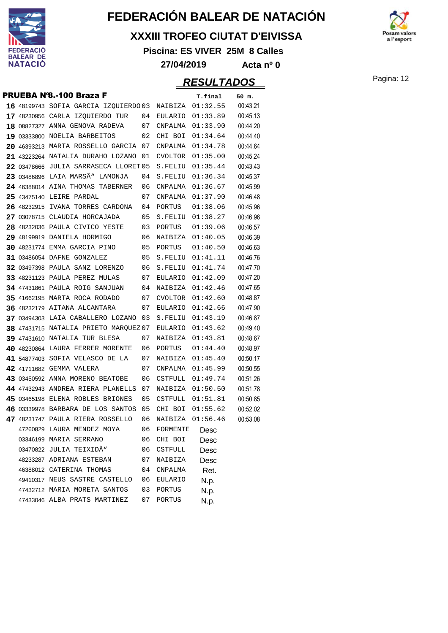

#### **XXXIII TROFEO CIUTAT D'EIVISSA**

**Piscina: ES VIVER 25M 8 Calles**



#### **27/04/2019 Acta nº 0**

### Pagina: 12 **RESULTADOS**

|  | <b>PRUEBA Nº8.-100 Braza F</b>        |    |                | T.final          | 50 m.    |
|--|---------------------------------------|----|----------------|------------------|----------|
|  | 16 48199743 SOFIA GARCIA IZQUIERDO 03 |    |                | NAIBIZA 01:32.55 | 00:43.21 |
|  | 17 48230956 CARLA IZQUIERDO TUR       | 04 | EULARIO        | 01:33.89         | 00:45.13 |
|  | 18 08827327 ANNA GENOVA RADEVA        | 07 | CNPALMA        | 01:33.90         | 00:44.20 |
|  | 19 03333800 NOELIA BARBEITOS          | 02 | CHI BOI        | 01:34.64         | 00:44.40 |
|  | 20 46393213 MARTA ROSSELLO GARCIA 07  |    | CNPALMA        | 01:34.78         | 00:44.64 |
|  | 21 43223264 NATALIA DURAHO LOZANO     | 01 | <b>CVOLTOR</b> | 01:35.00         | 00:45.24 |
|  | 22 03478666 JULIA SARRASECA LLORET 05 |    | S.FELIU        | 01:35.44         | 00:43.43 |
|  | 23 03486896 LAIA MARSÃ" LAMONJA       | 04 | S.FELIU        | 01:36.34         | 00:45.37 |
|  | 24 46388014 AINA THOMAS TABERNER      | 06 | CNPALMA        | 01:36.67         | 00:45.99 |
|  | 25 43475140 LEIRE PARDAL              | 07 | CNPALMA        | 01:37.90         | 00:46.48 |
|  | 26 48232915 IVANA TORRES CARDONA      | 04 | PORTUS         | 01:38.06         | 00:45.96 |
|  | 27 03078715 CLAUDIA HORCAJADA         | 05 | S.FELIU        | 01:38.27         | 00:46.96 |
|  | 28 48232036 PAULA CIVICO YESTE        | 03 | PORTUS         | 01:39.06         | 00:46.57 |
|  | 29 48199919 DANIELA HORMIGO           | 06 | NAIBIZA        | 01:40.05         | 00:46.39 |
|  | <b>30 48231774 EMMA GARCIA PINO</b>   | 05 | PORTUS         | 01:40.50         | 00:46.63 |
|  | <b>31 03486054 DAFNE GONZALEZ</b>     | 05 | S.FELIU        | 01:41.11         | 00:46.76 |
|  | <b>32 03497398 PAULA SANZ LORENZO</b> | 06 | S.FELIU        | 01:41.74         | 00:47.70 |
|  | 33 48231123 PAULA PEREZ MULAS         | 07 | EULARIO        | 01:42.09         | 00:47.20 |
|  | <b>34 47431861 PAULA ROIG SANJUAN</b> | 04 | NAIBIZA        | 01:42.46         | 00:47.65 |
|  | 35 41662195 MARTA ROCA RODADO         | 07 | CVOLTOR        | 01:42.60         | 00:48.87 |
|  | 36 48232179 AITANA ALCANTARA          | 07 | EULARIO        | 01:42.66         | 00:47.90 |
|  | 37 03494303 LAIA CABALLERO LOZANO     | 03 | S.FELIU        | 01:43.19         | 00:46.87 |
|  | 38 47431715 NATALIA PRIETO MARQUEZ 07 |    | EULARIO        | 01:43.62         | 00:49.40 |
|  | 39 47431610 NATALIA TUR BLESA         | 07 | NAIBIZA        | 01:43.81         | 00:48.67 |
|  | 40 48230864 LAURA FERRER MORENTE      | 06 | PORTUS         | 01:44.40         | 00:48.97 |
|  | 41 54877403 SOFIA VELASCO DE LA       | 07 | NAIBIZA        | 01:45.40         | 00:50.17 |
|  | 42 41711682 GEMMA VALERA              | 07 | CNPALMA        | 01:45.99         | 00:50.55 |
|  | 43 03450592 ANNA MORENO BEATOBE       | 06 | CSTFULL        | 01:49.74         | 00:51.26 |
|  | 44 47432943 ANDREA RIERA PLANELLS     | 07 | NAIBIZA        | 01:50.50         | 00:51.78 |
|  | 45 03465198 ELENA ROBLES BRIONES      | 05 | <b>CSTFULL</b> | 01:51.81         | 00:50.85 |
|  | 46 03339978 BARBARA DE LOS SANTOS     | 05 | CHI BOI        | 01:55.62         | 00:52.02 |
|  | 47 48231747 PAULA RIERA ROSSELLO      | 06 |                | NAIBIZA 01:56.46 | 00:53.08 |
|  | 47260829 LAURA MENDEZ MOYA            | 06 | FORMENTE       | Desc             |          |
|  | 03346199 MARIA SERRANO                | 06 | CHI BOI        | Desc             |          |
|  | 03470822 JULIA TEIXIDÃ <sup>w</sup>   | 06 | <b>CSTFULL</b> | Desc             |          |
|  | 48233287 ADRIANA ESTEBAN              | 07 | NAIBIZA        | Desc             |          |
|  | 46388012 CATERINA THOMAS              | 04 | CNPALMA        | Ret.             |          |
|  | 49410317 NEUS SASTRE CASTELLO         | 06 | <b>EULARIO</b> | N.p.             |          |
|  | 47432712 MARIA MORETA SANTOS          | 03 | PORTUS         | N.p.             |          |
|  | 47433046 ALBA PRATS MARTINEZ          | 07 | PORTUS         | N.p.             |          |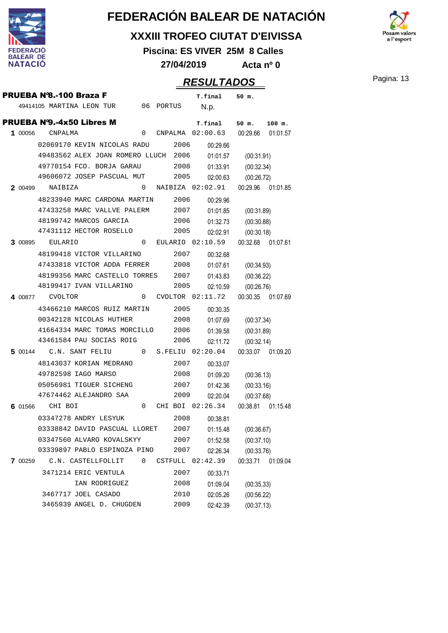

#### **XXXIII TROFEO CIUTAT D'EIVISSA**

**Piscina: ES VIVER 25M 8 Calles**

**27/04/2019 Acta nº 0**

|         |                                     |                                                   |          |      |      | ハレマレヒ/カレママ                                           |                     |          |
|---------|-------------------------------------|---------------------------------------------------|----------|------|------|------------------------------------------------------|---------------------|----------|
|         | PRUEBA Nº8.-100 Braza F             |                                                   |          |      |      | T.final 50 m.                                        |                     |          |
|         | 49414105 MARTINA LEON TUR 06 PORTUS |                                                   |          |      |      | N.p.                                                 |                     |          |
|         | <b>PRUEBA Nº9.-4x50 Libres M</b>    |                                                   |          |      |      |                                                      | 50 m.               |          |
|         | 1 00056 CNPALMA                     |                                                   | 0        |      |      | <b>T.final</b><br>CNPALMA 02:00.63 00:29.66 01:01.57 |                     | $100$ m. |
|         |                                     | 02069170 KEVIN NICOLAS RADU                       |          |      | 2006 | 00:29.66                                             |                     |          |
|         |                                     | 49483562 ALEX JOAN ROMERO LLUCH 2006              |          |      |      | 01:01.57                                             | (00:31.91)          |          |
|         |                                     | 49770154 FCO. BORJA GARAU                         |          | 2008 |      | 01:33.91                                             | (00:32.34)          |          |
|         |                                     | 49606072 JOSEP PASCUAL MUT                        |          |      | 2005 | 02:00.63                                             | (00:26.72)          |          |
|         | 2 00499 NAIBIZA                     |                                                   | $\Omega$ |      |      | NAIBIZA 02:02.91                                     | 00:29.96  01:01.85  |          |
|         |                                     | 48233940 MARC CARDONA MARTIN                      |          |      |      |                                                      |                     |          |
|         | 47433258 MARC VALLVE PALERM         |                                                   |          |      | 2006 | 00:29.96                                             |                     |          |
|         |                                     |                                                   |          |      |      | 2007<br>01:01.85                                     | (00:31.89)          |          |
|         |                                     | 48199742 MARCOS GARCIA<br>47431112 HECTOR ROSELLO |          | 2006 | 2005 | 01:32.73                                             | (00:30.88)          |          |
|         |                                     |                                                   |          |      |      | 02:02.91                                             | (00:30.18)          |          |
| 3 00895 | EULARIO                             |                                                   | 0        |      |      | EULARIO 02:10.59                                     | 00:32.68 01:07.61   |          |
|         | 48199418 VICTOR VILLARINO           |                                                   |          |      |      | 2007<br>00:32.68                                     |                     |          |
|         |                                     | 47433818 VICTOR ADDA FERRER                       |          |      | 2008 |                                                      | 01:07.61 (00:34.93) |          |
|         |                                     | 48199356 MARC CASTELLO TORRES 2007                |          |      |      | 01:43.83                                             | (00:36.22)          |          |
|         |                                     | 48199417 IVAN VILLARINO                           |          |      | 2005 | 02:10.59                                             | (00:26.76)          |          |
|         | 4 00877 CVOLTOR                     |                                                   |          |      |      | $0$ CVOLTOR $02:11.72$                               | 00:30.35 01:07.69   |          |
|         | 43466210 MARCOS RUIZ MARTIN 2005    |                                                   |          |      |      | 00:30.35                                             |                     |          |
|         |                                     | 00342128 NICOLAS HUTHER                           |          |      |      | 2008<br>01:07.69                                     | (00:37.34)          |          |
|         |                                     | 41664334 MARC TOMAS MORCILLO                      |          |      | 2006 | 01:39.58                                             | (00:31.89)          |          |
|         |                                     | 43461584 PAU SOCIAS ROIG                          |          |      | 2006 | 02:11.72                                             | (00:32.14)          |          |
|         |                                     |                                                   |          |      |      | 5 00144 C.N. SANT FELIU 0 S.FELIU 02:20.04           | 00:33.07 01:09.20   |          |
|         |                                     | 48143037 KORIAN MEDRANO                           |          |      |      | 2007<br>00:33.07                                     |                     |          |
|         |                                     | 49782598 IAGO MARSO                               |          |      | 2008 | 01:09.20                                             | (00:36.13)          |          |
|         |                                     | 05056981 TIGUER SICHENG                           |          |      |      | 2007<br>01:42.36                                     | (00:33.16)          |          |
|         |                                     | 47674462 ALEJANDRO SAA                            |          |      | 2009 | 02:20.04                                             | (00:37.68)          |          |
|         | 6 01566 CHI BOI                     |                                                   | $\Omega$ |      |      | CHI BOI 02:26.34                                     | 00:38.81 01:15.48   |          |
|         |                                     | 03347278 ANDRY LESYUK                             |          |      | 2008 | 00:38.81                                             |                     |          |
|         |                                     | 03338842 DAVID PASCUAL LLORET                     |          |      | 2007 | 01:15.48                                             | (00:36.67)          |          |
|         |                                     | 03347560 ALVARO KOVALSKYY                         |          |      | 2007 | 01:52.58                                             | (00:37.10)          |          |
|         |                                     | 03339897 PABLO ESPINOZA PINO                      |          |      | 2007 | 02:26.34                                             | (00:33.76)          |          |
| 7 00259 |                                     | C.N. CASTELLFOLLIT                                | 0        |      |      | CSTFULL 02:42.39                                     | 00:33.71            | 01:09.04 |
|         |                                     | 3471214 ERIC VENTULA                              |          |      | 2007 | 00:33.71                                             |                     |          |
|         |                                     | IAN RODRIGUEZ                                     |          |      | 2008 | 01:09.04                                             | (00:35.33)          |          |
|         |                                     | 3467717 JOEL CASADO                               |          |      | 2010 | 02:05.26                                             | (00:56.22)          |          |
|         |                                     | 3465939 ANGEL D. CHUGDEN                          |          |      | 2009 | 02:42.39                                             | (00:37.13)          |          |
|         |                                     |                                                   |          |      |      |                                                      |                     |          |

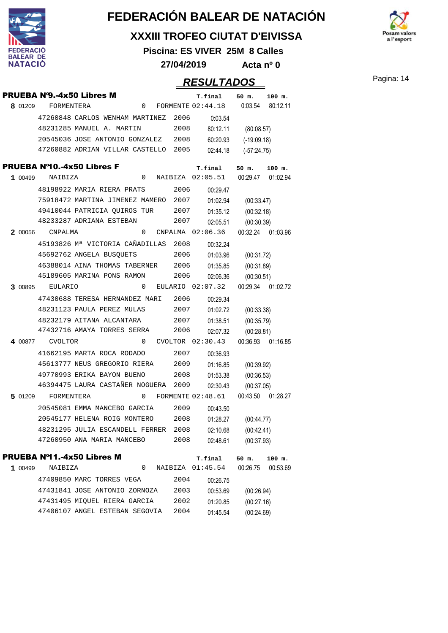

#### **XXXIII TROFEO CIUTAT D'EIVISSA**

**Piscina: ES VIVER 25M 8 Calles**

**27/04/2019 Acta nº 0**

### Pagina: 14 **RESULTADOS**

a l'esport

|         |                 | <b>PRUEBA N'9.-4x50 Libres M</b>     |   |   |      | T.final             | 50 m.             | $100$ m.           |
|---------|-----------------|--------------------------------------|---|---|------|---------------------|-------------------|--------------------|
| 8 01209 | FORMENTERA      |                                      | 0 |   |      | FORMENTE 02:44.18   |                   | 0:03.54 80:12.11   |
|         |                 | 47260848 CARLOS WENHAM MARTINEZ      |   |   | 2006 | 0:03.54             |                   |                    |
|         |                 | 48231285 MANUEL A. MARTIN            |   |   | 2008 | 80:12.11            | (80:08.57)        |                    |
|         |                 | 20545036 JOSE ANTONIO GONZALEZ       |   |   | 2008 | 60:20.93            | $(-19:09.18)$     |                    |
|         |                 | 47260882 ADRIAN VILLAR CASTELLO      |   |   | 2005 | 02:44.18            | $(-57:24.75)$     |                    |
|         |                 | <b>PRUEBA Nº10.-4x50 Libres F</b>    |   |   |      | T.final             | 50 m.             | $100$ m.           |
| 1 00499 | NAIBIZA         |                                      | 0 |   |      | NAIBIZA 02:05.51    | 00:29.47 01:02.94 |                    |
|         |                 | 48198922 MARIA RIERA PRATS           |   |   | 2006 | 00:29.47            |                   |                    |
|         |                 | 75918472 MARTINA JIMENEZ MAMERO 2007 |   |   |      | 01:02.94            | (00:33.47)        |                    |
|         |                 | 49410044 PATRICIA QUIROS TUR         |   |   | 2007 | 01:35.12            | (00:32.18)        |                    |
|         |                 | 48233287 ADRIANA ESTEBAN             |   |   | 2007 | 02:05.51            | (00:30.39)        |                    |
|         | 2 00056 CNPALMA |                                      | 0 |   |      | CNPALMA 02:06.36    |                   | 00:32.24 01:03.96  |
|         |                 | 45193826 Mª VICTORIA CAÑADILLAS 2008 |   |   |      | 00:32.24            |                   |                    |
|         |                 | 45692762 ANGELA BUSQUETS             |   |   | 2006 | 01:03.96            | (00:31.72)        |                    |
|         |                 | 46388014 AINA THOMAS TABERNER        |   |   | 2006 | 01:35.85            | (00:31.89)        |                    |
|         |                 | 45189605 MARINA PONS RAMON           |   |   | 2006 | 02:06.36            | (00:30.51)        |                    |
| 3 00895 | <b>EULARIO</b>  |                                      | 0 |   |      | EULARIO $02:07.32$  |                   | 00:29.34 01:02.72  |
|         |                 | 47430688 TERESA HERNANDEZ MARI       |   |   | 2006 | 00:29.34            |                   |                    |
|         |                 | 48231123 PAULA PEREZ MULAS           |   |   | 2007 | 01:02.72            | (00:33.38)        |                    |
|         |                 | 48232179 AITANA ALCANTARA            |   |   | 2007 | 01:38.51            | (00:35.79)        |                    |
|         |                 | 47432716 AMAYA TORRES SERRA          |   |   | 2006 | 02:07.32            | (00:28.81)        |                    |
| 4.00877 | <b>CVOLTOR</b>  |                                      | 0 |   |      | CVOLTOR 02:30.43    |                   | 00:36.93  01:16.85 |
|         |                 | 41662195 MARTA ROCA RODADO           |   |   | 2007 | 00:36.93            |                   |                    |
|         |                 | 45613777 NEUS GREGORIO RIERA         |   |   | 2009 | 01:16.85            | (00:39.92)        |                    |
|         |                 | 49770993 ERIKA BAYON BUENO           |   |   | 2008 | 01:53.38            | (00:36.53)        |                    |
|         |                 | 46394475 LAURA CASTAÑER NOGUERA      |   |   | 2009 | 02:30.43            | (00:37.05)        |                    |
| 5 01209 | FORMENTERA      |                                      |   | 0 |      | FORMENTE $02:48.61$ |                   | 00:43.50 01:28.27  |
|         |                 | 20545081 EMMA MANCEBO GARCIA         |   |   | 2009 | 00:43.50            |                   |                    |
|         |                 | 20545177 HELENA ROIG MONTERO         |   |   | 2008 | 01:28.27            | (00:44.77)        |                    |
|         |                 | 48231295 JULIA ESCANDELL FERRER 2008 |   |   |      | 02:10.68            | (00:42.41)        |                    |
|         |                 | 47260950 ANA MARIA MANCEBO           |   |   | 2008 | 02:48.61            | (00:37.93)        |                    |
|         |                 | <b>PRUEBA Nº11.-4x50 Libres M</b>    |   |   |      | T.final             | 50 m.             | 100 m.             |
| 1 00499 | NAIBIZA         |                                      | 0 |   |      | NAIBIZA 01:45.54    | 00:26.75          | 00:53.69           |
|         |                 | 47409850 MARC TORRES VEGA            |   |   | 2004 | 00:26.75            |                   |                    |
|         |                 | 47431841 JOSE ANTONIO ZORNOZA        |   |   | 2003 | 00:53.69            | (00:26.94)        |                    |
|         |                 | 47431495 MIQUEL RIERA GARCIA         |   |   | 2002 | 01:20.85            | (00:27.16)        |                    |
|         |                 | 47406107 ANGEL ESTEBAN SEGOVIA       |   |   | 2004 | 01:45.54            | (00:24.69)        |                    |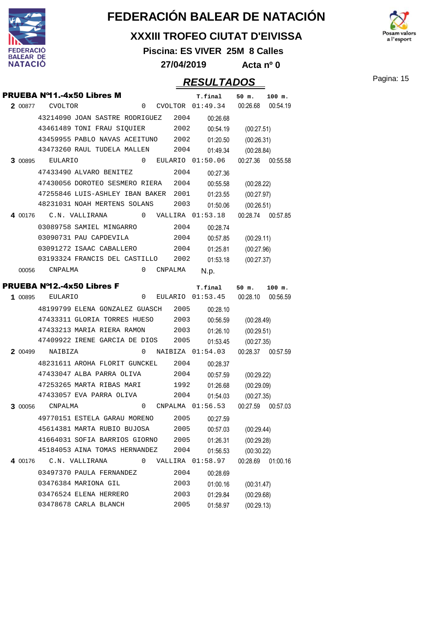

#### **XXXIII TROFEO CIUTAT D'EIVISSA**

**Piscina: ES VIVER 25M 8 Calles**

a l'esport

**27/04/2019 Acta nº 0**

|         |                 | PRUEBA Nº11.-4x50 Libres M           |          |         | T.final                | 50 m.                    | $100$ m.          |
|---------|-----------------|--------------------------------------|----------|---------|------------------------|--------------------------|-------------------|
| 2 00877 | <b>CVOLTOR</b>  |                                      |          |         | 0 CVOLTOR 01:49.34     | 00:26.68                 | 00:54.19          |
|         |                 | 43214090 JOAN SASTRE RODRIGUEZ 2004  |          |         | 00:26.68               |                          |                   |
|         |                 | 43461489 TONI FRAU SIQUIER 2002      |          |         | 00:54.19               | (00:27.51)               |                   |
|         |                 | 43459955 PABLO NAVAS ACEITUNO 2002   |          |         | 01:20.50               | (00:26.31)               |                   |
|         |                 | 43473260 RAUL TUDELA MALLEN          |          | 2004    | 01:49.34               | (00:28.84)               |                   |
|         | 3 00895 EULARIO |                                      |          |         | $0$ EULARIO $01:50.06$ |                          | 00:27.36 00:55.58 |
|         |                 | 47433490 ALVARO BENITEZ              |          | 2004    | 00:27.36               |                          |                   |
|         |                 | 47430056 DOROTEO SESMERO RIERA 2004  |          |         | 00:55.58               | (00:28.22)               |                   |
|         |                 | 47255846 LUIS-ASHLEY IBAN BAKER 2001 |          |         | 01:23.55               | (00:27.97)               |                   |
|         |                 | 48231031 NOAH MERTENS SOLANS         |          | 2003    | 01:50.06               | (00:26.51)               |                   |
|         |                 | 4 00176 C.N. VALLIRANA               |          |         | $0$ VALLIRA $01:53.18$ |                          | 00:28.74 00:57.85 |
|         |                 | 03089758 SAMIEL MINGARRO             |          | 2004    | 00:28.74               |                          |                   |
|         |                 | 03090731 PAU CAPDEVILA               |          | 2004    | 00:57.85               | (00:29.11)               |                   |
|         |                 | 03091272 ISAAC CABALLERO             |          | 2004    | 01:25.81               | (00:27.96)               |                   |
|         |                 | 03193324 FRANCIS DEL CASTILLO 2002   |          |         | 01:53.18               | (00:27.37)               |                   |
|         | 00056 CNPALMA   |                                      | $\Omega$ | CNPALMA | N.p.                   |                          |                   |
|         |                 | PRUEBA Nº12.-4x50 Libres F           |          |         | T.final                | $50$ m.                  | $100$ m.          |
| 1 00895 | EULARIO         |                                      | 0        |         | EULARIO 01:53.45       | 00:28.10 00:56.59        |                   |
|         |                 | 48199799 ELENA GONZALEZ GUASCH 2005  |          |         | 00:28.10               |                          |                   |
|         |                 | 47433311 GLORIA TORRES HUESO         |          | 2003    | 00:56.59               | (00:28.49)               |                   |
|         |                 |                                      |          |         |                        |                          |                   |
|         |                 | 47433213 MARIA RIERA RAMON           |          | 2003    | 01:26.10               |                          |                   |
|         |                 | 47409922 IRENE GARCIA DE DIOS 2005   |          |         | 01:53.45               | (00:29.51)<br>(00:27.35) |                   |
|         | 2 00499 NAIBIZA |                                      | 0        |         | NAIBIZA 01:54.03       | 00:28.37                 | 00:57.59          |
|         |                 | 48231611 AROHA FLORIT GUNCKEL 2004   |          |         | 00:28.37               |                          |                   |
|         |                 | 47433047 ALBA PARRA OLIVA            |          | 2004    | 00:57.59               | (00:29.22)               |                   |
|         |                 | 47253265 MARTA RIBAS MARI            |          | 1992    | 01:26.68               | (00:29.09)               |                   |
|         |                 | 47433057 EVA PARRA OLIVA             |          | 2004    | 01:54.03               | (00:27.35)               |                   |
| 3 00056 | CNPALMA         |                                      | 0        |         | CNPALMA 01:56.53       | 00:27.59                 | 00:57.03          |
|         |                 | 49770151 ESTELA GARAU MORENO         |          | 2005    | 00:27.59               |                          |                   |
|         |                 | 45614381 MARTA RUBIO BUJOSA          |          | 2005    | 00:57.03               | (00:29.44)               |                   |
|         |                 | 41664031 SOFIA BARRIOS GIORNO        |          | 2005    | 01:26.31               | (00:29.28)               |                   |
|         |                 | 45184053 AINA TOMAS HERNANDEZ        |          | 2004    | 01:56.53               | (00:30.22)               |                   |
| 4 00176 |                 | C.N. VALLIRANA                       | 0        |         | VALLIRA 01:58.97       | 00:28.69                 | 01:00.16          |
|         |                 | 03497370 PAULA FERNANDEZ             |          | 2004    | 00:28.69               |                          |                   |
|         |                 | 03476384 MARIONA GIL                 |          | 2003    | 01:00.16               | (00:31.47)               |                   |
|         |                 | 03476524 ELENA HERRERO               |          | 2003    | 01:29.84               | (00:29.68)               |                   |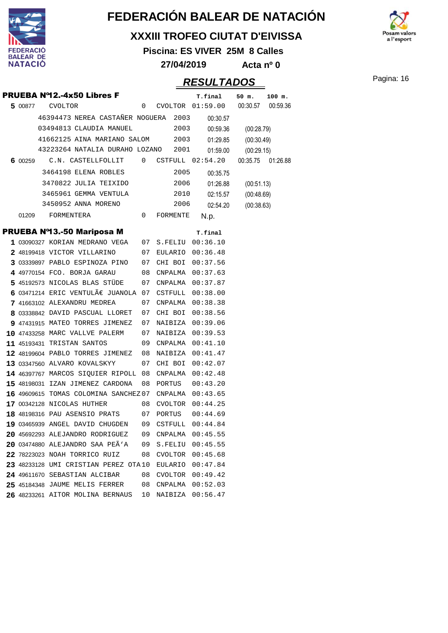

#### **XXXIII TROFEO CIUTAT D'EIVISSA**

**Piscina: ES VIVER 25M 8 Calles**

**27/04/2019 Acta nº 0**

### Pagina: 16 **RESULTADOS**

a l'esport

|         | PRUEBA Nº12.-4x50 Libres F                            |              |           |            | T.final                               | 50 m.      | $100$ m.          |
|---------|-------------------------------------------------------|--------------|-----------|------------|---------------------------------------|------------|-------------------|
|         | 5 00877 CVOLTOR                                       | 0            |           |            | CVOLTOR  01:59.00  00:30.57  00:59.36 |            |                   |
|         | 46394473 NEREA CASTAÑER NOGUERA 2003                  |              |           |            | 00:30.57                              |            |                   |
|         | 03494813 CLAUDIA MANUEL                               |              |           | 2003       | 00:59.36                              | (00:28.79) |                   |
|         | 41662125 AINA MARIANO SALOM 2003                      |              |           |            | 01:29.85                              | (00:30.49) |                   |
|         | 43223264 NATALIA DURAHO LOZANO                        |              |           | 2001       | 01:59.00                              | (00:29.15) |                   |
| 6 00259 | $C.N.$ $CASTELLFOLLIT$ $0$ $CSTFULL$ $02:54.20$       |              |           |            |                                       |            | 00:35.75 01:26.88 |
|         | 3464198 ELENA ROBLES                                  |              |           | 2005       | 00:35.75                              |            |                   |
|         | 3470822 JULIA TEIXIDO                                 |              |           | 2006       | 01:26.88                              | (00:51.13) |                   |
|         | 3465961 GEMMA VENTULA                                 |              |           | 2010       | 02:15.57                              | (00:48.69) |                   |
|         | 3450952 ANNA MORENO                                   |              |           | 2006       | 02:54.20                              | (00:38.63) |                   |
| 01209   | FORMENTERA                                            | $\mathbf{0}$ |           | FORMENTE   | N.p.                                  |            |                   |
|         | <b>PRUEBA Nº13.-50 Mariposa M</b>                     |              |           |            | T.final                               |            |                   |
|         | 1 03090327 KORIAN MEDRANO VEGA 07 S.FELIU 00:36.10    |              |           |            |                                       |            |                   |
|         | 2 48199418 VICTOR VILLARINO                           |              |           |            | 07 EULARIO 00:36.48                   |            |                   |
|         | 3 03339897 PABLO ESPINOZA PINO 07 CHI BOI 00:37.56    |              |           |            |                                       |            |                   |
|         | 4 49770154 FCO. BORJA GARAU                           |              |           |            | 08 CNPALMA 00:37.63                   |            |                   |
|         | 5 45192573 NICOLAS BLAS STÜDE                         | 07           |           | CNPALMA    | 00:37.87                              |            |                   |
|         | 6 03471214 ERIC VENTULÀ JUANOLA 07 CSTFULL 00:38.00   |              |           |            |                                       |            |                   |
|         | 7 41663102 ALEXANDRU MEDREA                           | 07           |           |            | CNPALMA 00:38.38                      |            |                   |
|         | 8 03338842 DAVID PASCUAL LLORET                       |              |           | 07 CHI BOI | 00:38.56                              |            |                   |
|         | 9 47431915 MATEO TORRES JIMENEZ                       | 07           |           |            | NAIBIZA 00:39.06                      |            |                   |
|         | <b>10 47433258 MARC VALLVE PALERM</b>                 |              |           |            | 07 NAIBIZA 00:39.53                   |            |                   |
|         | 11 45193431 TRISTAN SANTOS                            |              |           |            | 09 CNPALMA 00:41.10                   |            |                   |
|         | 12 48199604 PABLO TORRES JIMENEZ 08                   |              |           | NAIBIZA    | 00:41.47                              |            |                   |
|         | 13 03347560 ALVARO KOVALSKYY                          | 07           |           | CHI BOI    | 00:42.07                              |            |                   |
|         | 14 46397767 MARCOS SIQUIER RIPOLL 08                  |              |           | CNPALMA    | 00:42.48                              |            |                   |
|         | 15 48198031 IZAN JIMENEZ CARDONA                      |              | 08 PORTUS |            | 00:43.20                              |            |                   |
|         | 16 49609615 TOMAS COLOMINA SANCHEZ07 CNPALMA 00:43.65 |              |           |            |                                       |            |                   |
|         | 17 00342128 NICOLAS HUTHER                            |              |           |            | 08 CVOLTOR 00:44.25                   |            |                   |
|         | <b>18 48198316 PAU ASENSIO PRATS</b>                  | 07           |           | PORTUS     | 00:44.69                              |            |                   |
|         | 19 03465939 ANGEL DAVID CHUGDEN                       | 09           |           | CSTFULL    | 00:44.84                              |            |                   |
|         | 20 45692293 ALEJANDRO RODRIGUEZ                       | 09           |           |            | CNPALMA  00:45.55                     |            |                   |
|         | 20 03474880 ALEJANDRO SAA PEÃ'A                       | 09           |           | S.FELIU    | 00:45.55                              |            |                   |
|         | 22 78223023 NOAH TORRICO RUIZ                         | 08           |           |            | CVOLTOR 00:45.68                      |            |                   |
|         | 23 48233128 UMI CRISTIAN PEREZ OTA10                  |              |           |            | EULARIO 00:47.84                      |            |                   |
|         | 24 49611670 SEBASTIAN ALCIBAR                         | 08           |           |            | CVOLTOR 00:49.42                      |            |                   |
|         | 25 45184348 JAUME MELIS FERRER                        | 08           |           |            | CNPALMA  00:52.03                     |            |                   |
|         | 26 48233261 AITOR MOLINA BERNAUS                      | 10           |           | NAIBIZA    | 00:56.47                              |            |                   |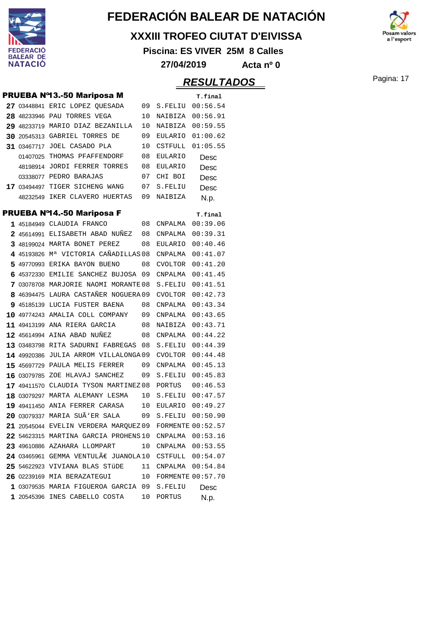

#### **XXXIII TROFEO CIUTAT D'EIVISSA**

**Piscina: ES VIVER 25M 8 Calles**

a l'esport

**27/04/2019 Acta nº 0**

|             | <b>PRUEBA Nº13.-50 Mariposa M</b>                       |    |                      | T.final  |
|-------------|---------------------------------------------------------|----|----------------------|----------|
|             | 27 03448841 ERIC LOPEZ QUESADA                          | 09 | S.FELIU 00:56.54     |          |
|             | 28 48233946 PAU TORRES VEGA                             | 10 | NAIBIZA 00:56.91     |          |
|             | 29 48233719 MARIO DIAZ BEZANILLA                        | 10 | NAIBIZA 00:59.55     |          |
|             | 30 20545313 GABRIEL TORRES DE                           | 09 | EULARIO              | 01:00.62 |
|             | 31 03467717 JOEL CASADO PLA                             | 10 | CSTFULL              | 01:05.55 |
|             | 01407025 THOMAS PFAFFENDORF                             | 08 | EULARIO              | Desc     |
|             | 48198914 JORDI FERRER TORRES                            | 08 | EULARIO              | Desc     |
|             | 03338077 PEDRO BARAJAS                                  | 07 | CHI BOI              | Desc     |
|             | 17 03494497 TIGER SICHENG WANG                          | 07 | S.FELIU              | Desc     |
|             | 48232549 IKER CLAVERO HUERTAS                           | 09 | NAIBIZA              | N.p.     |
|             | <b>PRUEBA Nº14.-50 Mariposa F</b>                       |    |                      | T.final  |
|             | 1 45184949 CLAUDIA FRANCO                               | 08 | CNPALMA              | 00:39.06 |
|             | 2 45614991 ELISABETH ABAD NUNEZ                         | 08 | CNPALMA              | 00:39.31 |
|             | 3 48199024 MARTA BONET PEREZ                            | 08 | EULARIO              | 00:40.46 |
|             | 4 45193826 M <sup>a</sup> VICTORIA CAÑADILLAS 08        |    | CNPALMA              | 00:41.07 |
|             | 5 49770993 ERIKA BAYON BUENO                            | 08 | CVOLTOR              | 00:41.20 |
|             | 6 45372330 EMILIE SANCHEZ BUJOSA                        | 09 | CNPALMA              | 00:41.45 |
|             | 7 03078708 MARJORIE NAOMI MORANTE 08                    |    | S.FELIU              | 00:41.51 |
|             | 8 46394475 LAURA CASTAÑER NOGUERA 09                    |    | CVOLTOR              | 00:42.73 |
|             | 9 45185139 LUCIA FUSTER BAENA                           | 08 | CNPALMA  00:43.34    |          |
|             | 10 49774243 AMALIA COLL COMPANY                         | 09 | CNPALMA  00:43.65    |          |
| 11 49413199 | ANA RIERA GARCIA                                        | 08 | NAIBIZA              | 00:43.71 |
|             | 12 45614994 AINA ABAD NUÑEZ                             | 08 | CNPALMA              | 00:44.22 |
|             | 13 03483798 RITA SADURNI FABREGAS                       | 08 | S.FELIU              | 00:44.39 |
|             | 14 49920386 JULIA ARROM VILLALONGA09                    |    | CVOLTOR              | 00:44.48 |
|             | 15 45697729 PAULA MELIS FERRER                          | 09 | CNPALMA              | 00:45.13 |
|             | 16 03079785 ZOE HLAVAJ SANCHEZ                          | 09 | S.FELIU              | 00:45.83 |
|             | 17 49411570 CLAUDIA TYSON MARTINEZ08                    |    | PORTUS               | 00:46.53 |
|             | 18 03079297 MARTA ALEMANY LESMA                         | 10 | S.FELIU              | 00:47.57 |
|             | 19 49411450 ANIA FERRER CARASA                          | 10 | EULARIO              | 00:49.27 |
|             | 20 03079337 MARIA SUÃ'ER SALA                           | 09 | S.FELIU              | 00:50.90 |
|             | 21 20545044 EVELIN VERDERA MARQUEZ 09 FORMENTE 00:52.57 |    |                      |          |
|             | 22 54623315 MARTINA GARCIA PROHENS 10 CNPALMA 00:53.16  |    |                      |          |
|             | 23 49610886 AZAHARA LLOMPART                            |    | 10 CNPALMA 00:53.55  |          |
|             | 24 03465961 GEMMA VENTULÀ JUANOLA10 CSTFULL 00:54.07    |    |                      |          |
|             | 25 54622923 VIVIANA BLAS STÜDE 11 CNPALMA 00:54.84      |    |                      |          |
|             | 26 02239169 MIA BERAZATEGUI                             |    | 10 FORMENTE 00:57.70 |          |
|             | 1 03079535 MARIA FIGUEROA GARCIA 09 S.FELIU             |    |                      | Desc     |
|             | 1 20545396 INES CABELLO COSTA 10 PORTUS                 |    |                      | N.p.     |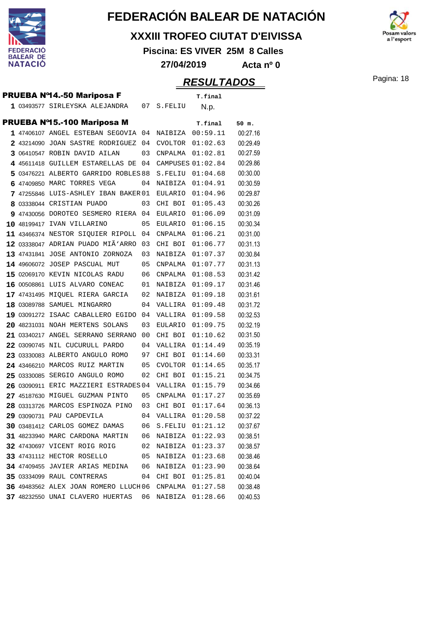

#### **XXXIII TROFEO CIUTAT D'EIVISSA**

**Piscina: ES VIVER 25M 8 Calles**

**27/04/2019 Acta nº 0**

### **RESULTADOS** Pagina: 18

 $\mathbf{a}$  l'esport

|  | <b>PRUEBA Nº14.-50 Mariposa F</b>                   |      |                   | T.final             |          |
|--|-----------------------------------------------------|------|-------------------|---------------------|----------|
|  | 1 03493577 SIRLEYSKA ALEJANDRA                      | 07   | S.FELIU           | N.p.                |          |
|  |                                                     |      |                   |                     |          |
|  | <b>PRUEBA Nº15.-100 Mariposa M</b>                  |      |                   | T.final             | 50 m.    |
|  | 1 47406107 ANGEL ESTEBAN SEGOVIA 04                 |      | NAIBIZA           | 00:59.11            | 00:27.16 |
|  | 2 43214090 JOAN SASTRE RODRIGUEZ                    | - 04 | CVOLTOR           | 01:02.63            | 00:29.49 |
|  | 3 06410547 ROBIN DAVID AILAN                        | 03   | CNPALMA           | 01:02.81            | 00:27.59 |
|  | 4 45611418 GUILLEM ESTARELLAS DE                    | 04   | CAMPUSES 01:02.84 |                     | 00:29.86 |
|  | 5 03476221 ALBERTO GARRIDO ROBLES 88                |      | S.FELIU           | 01:04.68            | 00:30.00 |
|  | 6 47409850 MARC TORRES VEGA                         | 04   | NAIBIZA           | 01:04.91            | 00:30.59 |
|  | 7 47255846 LUIS-ASHLEY IBAN BAKER 01                |      | EULARIO           | 01:04.96            | 00:29.87 |
|  | 8 03338044 CRISTIAN PUADO                           | 03   | CHI BOI           | 01:05.43            | 00:30.26 |
|  | 9 47430056 DOROTEO SESMERO RIERA 04                 |      | EULARIO           | 01:06.09            | 00:31.09 |
|  | 10 48199417 IVAN VILLARINO                          | 05   | EULARIO 01:06.15  |                     | 00:30.34 |
|  | 11 43466374 NESTOR SIQUIER RIPOLL                   | 04   | CNPALMA           | 01:06.21            | 00:31.00 |
|  | 12 03338047 ADRIAN PUADO MIÃ'ARRO                   | 03   | CHI BOI           | 01:06.77            | 00:31.13 |
|  | 13 47431841 JOSE ANTONIO ZORNOZA                    | 03   | NAIBIZA           | 01:07.37            | 00:30.84 |
|  | 14 49606072 JOSEP PASCUAL MUT                       | 05   | CNPALMA           | 01:07.77            | 00:31.13 |
|  | 15 02069170 KEVIN NICOLAS RADU                      | 06   | CNPALMA           | 01:08.53            | 00:31.42 |
|  | 16 00508861 LUIS ALVARO CONEAC                      | 01   | NAIBIZA 01:09.17  |                     | 00:31.46 |
|  | 17 47431495 MIQUEL RIERA GARCIA                     | 02   | NAIBIZA           | 01:09.18            | 00:31.61 |
|  | 18 03089788 SAMUEL MINGARRO                         | 04   | VALLIRA 01:09.48  |                     | 00:31.72 |
|  | 19 03091272 ISAAC CABALLERO EGIDO                   | 04   | VALLIRA 01:09.58  |                     | 00:32.53 |
|  | 20 48231031 NOAH MERTENS SOLANS                     | 03   | EULARIO           | 01:09.75            | 00:32.19 |
|  | 21 03340217 ANGEL SERRANO SERRANO                   | 00   | CHI BOI           | 01:10.62            | 00:31.50 |
|  | 22 03090745 NIL CUCURULL PARDO                      | 04   | VALLIRA           | 01:14.49            | 00:35.19 |
|  | 23 03330083 ALBERTO ANGULO ROMO                     | 97   | CHI BOI           | 01:14.60            | 00:33.31 |
|  | 24 43466210 MARCOS RUIZ MARTIN                      | 05   | CVOLTOR           | 01:14.65            | 00:35.17 |
|  | 25 03330085 SERGIO ANGULO ROMO                      | 02   | CHI BOI           | 01:15.21            | 00:34.75 |
|  | 26 03090911 ERIC MAZZIERI ESTRADES 04               |      | VALLIRA 01:15.79  |                     | 00:34.66 |
|  | 27 45187630 MIGUEL GUZMAN PINTO                     | 05   | CNPALMA           | 01:17.27            | 00:35.69 |
|  | 28 03313726 MARCOS ESPINOZA PINO                    | 03   | CHI BOI           | 01:17.64            | 00:36.13 |
|  | 29 03090731 PAU CAPDEVILA                           | 04   | VALLIRA           | 01:20.58            | 00:37.22 |
|  | 30 03481412 CARLOS GOMEZ DAMAS                      |      |                   | 06 S.FELIU 01:21.12 | 00:37.67 |
|  | 31 48233940 MARC CARDONA MARTIN 06 NAIBIZA 01:22.93 |      |                   |                     | 00:38.51 |
|  | 32 47430697 VICENT ROIG ROIG                        | 02   | NAIBIZA 01:23.37  |                     | 00:38.57 |
|  | 33 47431112 HECTOR ROSELLO                          | 05   |                   | NAIBIZA 01:23.68    | 00:38.46 |
|  | 34 47409455 JAVIER ARIAS MEDINA                     | 06   |                   | NAIBIZA 01:23.90    | 00:38.64 |
|  | <b>35 03334099 RAUL CONTRERAS</b>                   | 04   |                   | CHI BOI 01:25.81    | 00:40.04 |
|  | 36 49483562 ALEX JOAN ROMERO LLUCH06                |      | CNPALMA 01:27.58  |                     | 00:38.48 |
|  | 37 48232550 UNAI CLAVERO HUERTAS                    | 06   | NAIBIZA 01:28.66  |                     | 00:40.53 |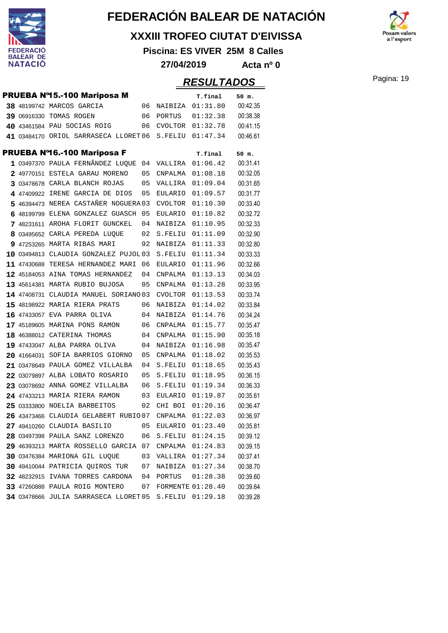

#### **XXXIII TROFEO CIUTAT D'EIVISSA**

**Piscina: ES VIVER 25M 8 Calles**

 $\mathbf{a}$  l'esport

**27/04/2019 Acta nº 0**

### Pagina: 19 **RESULTADOS**

|  | <b>PRUEBA Nº15.-100 Mariposa M</b>    |    |                          | T.final          | 50 m.    |
|--|---------------------------------------|----|--------------------------|------------------|----------|
|  | 38 48199742 MARCOS GARCIA             | 06 | NAIBIZA                  | 01:31.80         | 00:42.35 |
|  | 39 06916330 TOMAS ROGEN               | 06 | PORTUS                   | 01:32.38         | 00:38.38 |
|  | 40 43461584 PAU SOCIAS ROIG           | 06 |                          | CVOLTOR 01:32.78 | 00:41.15 |
|  | 41 03484170 ORIOL SARRASECA LLORET 06 |    | S.FELIU                  | 01:47.34         | 00:46.61 |
|  | PRUEBA Nº16.-100 Mariposa F           |    |                          | T.final          | 50 m.    |
|  | 1 03497370 PAULA FERNÃNDEZ LUQUE      | 04 | VALLIRA                  | 01:06.42         | 00:31.41 |
|  | 2 49770151 ESTELA GARAU MORENO        | 05 | CNPALMA                  | 01:08.18         | 00:32.05 |
|  | 3 03478678 CARLA BLANCH ROJAS         | 05 | VALLIRA                  | 01:09.04         | 00:31.65 |
|  | 4 47409922 IRENE GARCIA DE DIOS       | 05 | EULARIO                  | 01:09.57         | 00:31.77 |
|  | 5 46394473 NEREA CASTAÑER NOGUERA 03  |    | CVOLTOR                  | 01:10.30         | 00:33.40 |
|  | 6 48199799 ELENA GONZALEZ GUASCH      | 05 | EULARIO                  | 01:10.82         | 00:32.72 |
|  | 7 48231611 AROHA FLORIT GUNCKEL       | 04 | NAIBIZA                  | 01:10.95         | 00:32.33 |
|  | 8 03495652 CARLA PEREDA LUQUE         | 02 | S.FELIU                  | 01:11.09         | 00:32.90 |
|  | 9 47253265 MARTA RIBAS MARI           | 92 | NAIBIZA                  | 01:11.33         | 00:32.80 |
|  | 10 03494813 CLAUDIA GONZALEZ PUJOL03  |    | S.FELIU                  | 01:11.34         | 00:33.33 |
|  | 11 47430688 TERESA HERNANDEZ MARI     | 06 | EULARIO                  | 01:11.96         | 00:32.66 |
|  | 12 45184053 AINA TOMAS HERNANDEZ      | 04 | CNPALMA                  | 01:13.13         | 00:34.03 |
|  | 13 45614381 MARTA RUBIO BUJOSA        | 05 | CNPALMA                  | 01:13.28         | 00:33.95 |
|  | 14 47408731 CLAUDIA MANUEL SORIANO 03 |    | CVOLTOR                  | 01:13.53         | 00:33.74 |
|  | 15 48198922 MARIA RIERA PRATS         | 06 | NAIBIZA                  | 01:14.02         | 00:33.84 |
|  | 16 47433057 EVA PARRA OLIVA           | 04 | NAIBIZA                  | 01:14.76         | 00:34.24 |
|  | 17 45189605 MARINA PONS RAMON         | 06 | CNPALMA                  | 01:15.77         | 00:35.47 |
|  | 18 46388012 CATERINA THOMAS           | 04 | CNPALMA                  | 01:15.90         | 00:35.18 |
|  | 19 47433047 ALBA PARRA OLIVA          | 04 | NAIBIZA                  | 01:16.98         | 00:35.47 |
|  | 20 41664031 SOFIA BARRIOS GIORNO      | 05 | CNPALMA                  | 01:18.02         | 00:35.53 |
|  | 21 03478649 PAULA GOMEZ VILLALBA      | 04 | S.FELIU                  | 01:18.65         | 00:35.43 |
|  | 22 03079897 ALBA LOBATO ROSARIO       | 05 | S.FELIU                  | 01:18.95         | 00:36.15 |
|  | 23 03078692 ANNA GOMEZ VILLALBA       | 06 | S.FELIU                  | 01:19.34         | 00:36.33 |
|  | 24 47433213 MARIA RIERA RAMON         | 03 | EULARIO                  | 01:19.87         | 00:35.61 |
|  | 25 03333800 NOELIA BARBEITOS          | 02 | CHI BOI                  | 01:20.16         | 00:36.47 |
|  | 26 43473466 CLAUDIA GELABERT RUBIO07  |    | CNPALMA                  | 01:22.03         | 00:36.97 |
|  | 27 49410260 CLAUDIA BASILIO           | 05 | EULARIO                  | 01:23.40         | 00:35.81 |
|  | 28 03497398 PAULA SANZ LORENZO        | 06 | S.FELIU                  | 01:24.15         | 00:39.12 |
|  | 29 46393213 MARTA ROSSELLO GARCIA 07  |    | CNPALMA 01:24.83         |                  | 00:39.15 |
|  | 30 03476384 MARIONA GIL LUQUE         | 03 | VALLIRA 01:27.34         |                  | 00:37.41 |
|  | 30 49410044 PATRICIA QUIROS TUR       | 07 | NAIBIZA                  | 01:27.34         | 00:38.70 |
|  | 32 48232915 IVANA TORRES CARDONA      | 04 | PORTUS                   | 01:28.38         | 00:39.60 |
|  | 33 47260888 PAULA ROIG MONTERO        | 07 | <b>FORMENTE 01:28.40</b> |                  | 00:39.64 |
|  | 34 03478666 JULIA SARRASECA LLORET 05 |    | S.FELIU                  | 01:29.18         | 00:39.28 |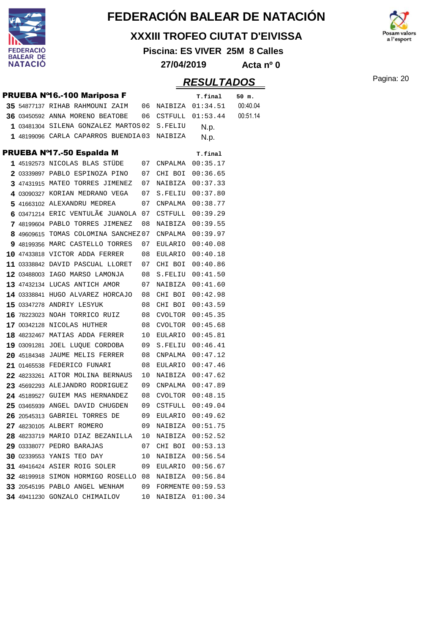

#### **XXXIII TROFEO CIUTAT D'EIVISSA**

**Piscina: ES VIVER 25M 8 Calles**

a l'esport

**27/04/2019 Acta nº 0**

|  | PRUEBA Nº16.-100 Mariposa F                            |    |                     | T.final          | 50 m.    |
|--|--------------------------------------------------------|----|---------------------|------------------|----------|
|  | 35 54877137 RIHAB RAHMOUNI ZAIM 06 NAIBIZA 01:34.51    |    |                     |                  | 00:40.04 |
|  | 36 03450592 ANNA MORENO BEATOBE 06 CSTFULL 01:53.44    |    |                     |                  | 00:51.14 |
|  | 1 03481304 SILENA GONZALEZ MARTOS 02 S.FELIU           |    |                     | N.p.             |          |
|  | 1 48199096 CARLA CAPARROS BUENDIA03 NAIBIZA            |    |                     | N.p.             |          |
|  | PRUEBA Nº17.-50 Espalda M                              |    |                     | T.final          |          |
|  | 1 45192573 NICOLAS BLAS STÜDE 07 CNPALMA 00:35.17      |    |                     |                  |          |
|  | 2 03339897 PABLO ESPINOZA PINO 07 CHI BOI 00:36.65     |    |                     |                  |          |
|  | 3 47431915 MATEO TORRES JIMENEZ 07 NAIBIZA 00:37.33    |    |                     |                  |          |
|  | 4 03090327 KORIAN MEDRANO VEGA 07 S.FELIU 00:37.80     |    |                     |                  |          |
|  | 5 41663102 ALEXANDRU MEDREA                            |    | 07 CNPALMA 00:38.77 |                  |          |
|  | 6 03471214 ERIC VENTULÃE JUANOLA 07 CSTFULL $00:39.29$ |    |                     |                  |          |
|  | 7 48199604 PABLO TORRES JIMENEZ                        |    | 08 NAIBIZA          | 00:39.55         |          |
|  | 8 49609615 TOMAS COLOMINA SANCHEZ 07 CNPALMA           |    |                     | 00:39.97         |          |
|  | 9 48199356 MARC CASTELLO TORRES                        |    | 07 EULARIO 00:40.08 |                  |          |
|  | 10 47433818 VICTOR ADDA FERRER 08 EULARIO              |    |                     | 00:40.18         |          |
|  | 11 03338842 DAVID PASCUAL LLORET 07 CHI BOI            |    |                     | 00:40.86         |          |
|  | 12 03488003 IAGO MARSO LAMONJA 08 S.FELIU 00:41.50     |    |                     |                  |          |
|  | 13 47432134 LUCAS ANTICH AMOR 07 NAIBIZA 00:41.60      |    |                     |                  |          |
|  | 14 03338841 HUGO ALVAREZ HORCAJO 08                    |    | CHI BOI             | 00:42.98         |          |
|  | 08<br>15 03347278 ANDRIY LESYUK                        |    | CHI BOI             | 00:43.59         |          |
|  | 16 78223023 NOAH TORRICO RUIZ 08                       |    | CVOLTOR             | 00:45.35         |          |
|  | 17 00342128 NICOLAS HUTHER                             | 08 |                     | CVOLTOR 00:45.68 |          |
|  | 18 48232467 MATIAS ADDA FERRER                         | 10 | EULARIO             | 00:45.81         |          |
|  | 19 03091281 JOEL LUQUE CORDOBA 09                      |    | S.FELIU             | 00:46.41         |          |
|  | 20 45184348 JAUME MELIS FERRER 08 CNPALMA 00:47.12     |    |                     |                  |          |
|  | 21 01465538 FEDERICO FUNARI                            |    | 08 EULARIO 00:47.46 |                  |          |
|  | 22 48233261 AITOR MOLINA BERNAUS                       | 10 |                     | NAIBIZA 00:47.62 |          |
|  | 23 45692293 ALEJANDRO RODRIGUEZ 09 CNPALMA             |    |                     | 00:47.89         |          |
|  | 24 45189527 GUIEM MAS HERNANDEZ                        |    | 08 CVOLTOR 00:48.15 |                  |          |
|  | 25 03465939 ANGEL DAVID CHUGDEN                        | 09 |                     | CSTFULL 00:49.04 |          |
|  | 26 20545313 GABRIEL TORRES DE                          | 09 |                     | EULARIO 00:49.62 |          |
|  | 27 48230105 ALBERT ROMERO                              | 09 | NAIBIZA             | 00:51.75         |          |
|  | 28 48233719 MARIO DIAZ BEZANILLA 10                    |    |                     | NAIBIZA 00:52.52 |          |
|  | 29 03338077 PEDRO BARAJAS                              |    | 07 CHI BOI 00:53.13 |                  |          |
|  | 30 02339553 YANIS TEO DAY                              | 10 |                     | NAIBIZA 00:56.54 |          |
|  | 31 49416424 ASIER ROIG SOLER                           | 09 |                     | EULARIO 00:56.67 |          |
|  | 32 48199918 SIMON HORMIGO ROSELLO 08 NAIBIZA 00:56.84  |    |                     |                  |          |
|  | 33 20545195 PABLO ANGEL WENHAM 09 FORMENTE 00:59.53    |    |                     |                  |          |
|  | 34 49411230 GONZALO CHIMAILOV                          | 10 |                     | NAIBIZA 01:00.34 |          |
|  |                                                        |    |                     |                  |          |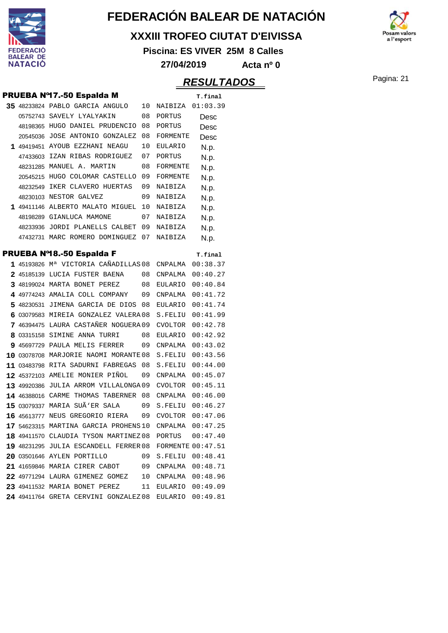

#### **XXXIII TROFEO CIUTAT D'EIVISSA**

**Piscina: ES VIVER 25M 8 Calles**

**27/04/2019 Acta nº 0**



|  |                                                                   |    |                          | <i><b>RESULTADOS</b></i> | Pagina: 21 |
|--|-------------------------------------------------------------------|----|--------------------------|--------------------------|------------|
|  | PRUEBA Nº17.-50 Espalda M                                         |    |                          | T.final                  |            |
|  | 35 48233824 PABLO GARCIA ANGULO                                   |    | 10 NAIBIZA 01:03.39      |                          |            |
|  | 05752743 SAVELY LYALYAKIN                                         | 08 | PORTUS                   | Desc                     |            |
|  | 48198365 HUGO DANIEL PRUDENCIO                                    | 08 | PORTUS                   | Desc                     |            |
|  | 20545036 JOSE ANTONIO GONZALEZ                                    | 08 | FORMENTE                 | Desc                     |            |
|  | 1 49419451 AYOUB EZZHANI NEAGU                                    | 10 | EULARIO                  | N.p.                     |            |
|  | 47433603 IZAN RIBAS RODRIGUEZ                                     | 07 | PORTUS                   | N.p.                     |            |
|  | 48231285 MANUEL A. MARTIN                                         | 08 | FORMENTE                 | N.p.                     |            |
|  | 20545215 HUGO COLOMAR CASTELLO                                    | 09 | FORMENTE                 | N.p.                     |            |
|  | 48232549 IKER CLAVERO HUERTAS                                     | 09 | NAIBIZA                  | N.p.                     |            |
|  | 48230103 NESTOR GALVEZ                                            | 09 | NAIBIZA                  | N.p.                     |            |
|  | 1 49411146 ALBERTO MALATO MIGUEL 10                               |    | NAIBIZA                  | N.p.                     |            |
|  | 48198289 GIANLUCA MAMONE                                          | 07 | NAIBIZA                  | N.p.                     |            |
|  | 48233936 JORDI PLANELLS CALBET 09                                 |    | NAIBIZA                  | N.p.                     |            |
|  | 47432731 MARC ROMERO DOMINGUEZ 07 NAIBIZA                         |    |                          | N.p.                     |            |
|  | <b>PRUEBA Nº18.-50 Espalda F</b>                                  |    |                          | T.final                  |            |
|  | 1 45193826 M <sup>a</sup> VICTORIA CAÑADILLAS 08 CNPALMA 00:38.37 |    |                          |                          |            |
|  | 2 45185139 LUCIA FUSTER BAENA                                     |    | 08 CNPALMA 00:40.27      |                          |            |
|  | 3 48199024 MARTA BONET PEREZ                                      |    | 08 EULARIO 00:40.84      |                          |            |
|  | 4 49774243 AMALIA COLL COMPANY                                    | 09 | CNPALMA 00:41.72         |                          |            |
|  | 5 48230531 JIMENA GARCIA DE DIOS 08                               |    | EULARIO                  | 00:41.74                 |            |
|  | 6 03079583 MIREIA GONZALEZ VALERA 08                              |    | S.FELIU 00:41.99         |                          |            |
|  | 7 46394475 LAURA CASTAÑER NOGUERA 09                              |    | CVOLTOR 00:42.78         |                          |            |
|  | 8 03315158 SIMINE ANNA TURRI                                      | 08 | EULARIO                  | 00:42.92                 |            |
|  | 9 45697729 PAULA MELIS FERRER                                     | 09 | CNPALMA                  | 00:43.02                 |            |
|  | 10 03078708 MARJORIE NAOMI MORANTE 08                             |    | S.FELIU 00:43.56         |                          |            |
|  | 11 03483798 RITA SADURNI FABREGAS 08                              |    | S.FELIU                  | 00:44.00                 |            |
|  | 12 45372103 AMELIE MONIER PIÑOL                                   | 09 | CNPALMA                  | 00:45.07                 |            |
|  | 13 49920386 JULIA ARROM VILLALONGA09                              |    | CVOLTOR 00:45.11         |                          |            |
|  | 14 46388016 CARME THOMAS TABERNER 08                              |    | CNPALMA                  | 00:46.00                 |            |
|  | 15 03079337 MARIA SUÃ'ER SALA                                     | 09 | S.FELIU                  | 00:46.27                 |            |
|  | 16 45613777 NEUS GREGORIO RIERA                                   | 09 | CVOLTOR                  | 00:47.06                 |            |
|  | 17 54623315 MARTINA GARCIA PROHENS 10                             |    | <b>CNPALMA</b>           | 00:47.25                 |            |
|  | 18 49411570 CLAUDIA TYSON MARTINEZ 08                             |    | PORTUS                   | 00:47.40                 |            |
|  | 19 48231295 JULIA ESCANDELL FERRER 08                             |    | <b>FORMENTE 00:47.51</b> |                          |            |
|  | 20 03501646 AYLEN PORTILLO                                        | 09 | ${\tt S. FELIU}$         | 00:48.41                 |            |
|  | 21 41659846 MARIA CIRER CABOT                                     | 09 | CNPALMA                  | 00:48.71                 |            |
|  | 22 49771294 LAURA GIMENEZ GOMEZ                                   | 10 | CNPALMA                  | 00:48.96                 |            |
|  | 23 49411532 MARIA BONET PEREZ                                     | 11 | EULARIO                  | 00:49.09                 |            |
|  | 24 49411764 GRETA CERVINI GONZALEZ08                              |    | EULARIO                  | 00:49.81                 |            |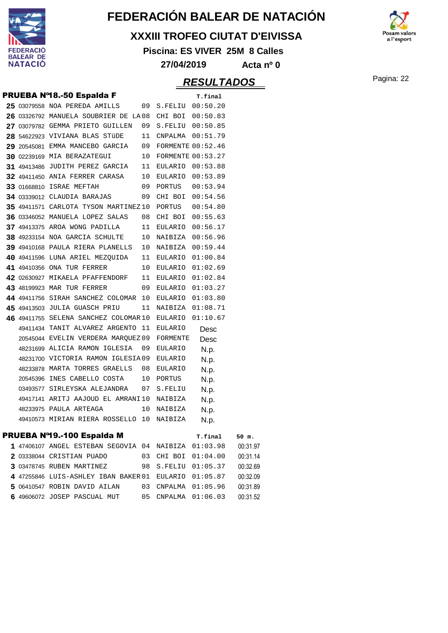

#### **XXXIII TROFEO CIUTAT D'EIVISSA**

**Piscina: ES VIVER 25M 8 Calles**



**27/04/2019 Acta nº 0**

### Pagina: 22 **RESULTADOS**

|  | PRUEBA Nº18.-50 Espalda F             |    |                          | T.final  |       |
|--|---------------------------------------|----|--------------------------|----------|-------|
|  | 25 03079558 NOA PEREDA AMILLS         | 09 | S.FELIU 00:50.20         |          |       |
|  | 26 03326792 MANUELA SOUBRIER DE LA08  |    | CHI BOI 00:50.83         |          |       |
|  | 27 03079782 GEMMA PRIETO GUILLEN      | 09 | S.FELIU 00:50.85         |          |       |
|  | 28 54622923 VIVIANA BLAS STÜDE        | 11 | CNPALMA  00:51.79        |          |       |
|  | 29 20545081 EMMA MANCEBO GARCIA       | 09 | <b>FORMENTE 00:52.46</b> |          |       |
|  | 30 02239169 MIA BERAZATEGUI           | 10 | <b>FORMENTE 00:53.27</b> |          |       |
|  | 31 49413486 JUDITH PEREZ GARCIA       | 11 | EULARIO 00:53.88         |          |       |
|  | 32 49411450 ANIA FERRER CARASA        | 10 | EULARIO 00:53.89         |          |       |
|  | <b>33 01668810 ISRAE MEFTAH</b>       | 09 | PORTUS                   | 00:53.94 |       |
|  | 34 03339012 CLAUDIA BARAJAS           | 09 | CHI BOI                  | 00:54.56 |       |
|  | 35 49411571 CARLOTA TYSON MARTINEZ 10 |    | PORTUS                   | 00:54.80 |       |
|  | 36 03346052 MANUELA LOPEZ SALAS       | 08 | CHI BOI                  | 00:55.63 |       |
|  | 37 49413375 AROA WONG PADILLA         | 11 | EULARIO                  | 00:56.17 |       |
|  | 38 49233154 NOA GARCIA SCHULTE        | 10 | NAIBIZA 00:56.96         |          |       |
|  | 39 49410168 PAULA RIERA PLANELLS      | 10 | NAIBIZA 00:59.44         |          |       |
|  | 40 49411596 LUNA ARIEL MEZQUIDA       | 11 | EULARIO                  | 01:00.84 |       |
|  | 41 49410356 ONA TUR FERRER            | 10 | EULARIO 01:02.69         |          |       |
|  | 42 02630927 MIKAELA PFAFFENDORF       | 11 | EULARIO 01:02.84         |          |       |
|  | <b>43 48199923 MAR TUR FERRER</b>     | 09 | EULARIO 01:03.27         |          |       |
|  | 44 49411756 SIRAH SANCHEZ COLOMAR 10  |    | EULARIO 01:03.80         |          |       |
|  | 45 49413503 JULIA GUASCH PRIU         | 11 | NAIBIZA                  | 01:08.71 |       |
|  | 46 49411755 SELENA SANCHEZ COLOMAR 10 |    | EULARIO                  | 01:10.67 |       |
|  | 49411434 TANIT ALVAREZ ARGENTO 11     |    | EULARIO                  | Desc     |       |
|  | 20545044 EVELIN VERDERA MAROUEZ09     |    | FORMENTE                 | Desc     |       |
|  | 48231699 ALICIA RAMON IGLESIA         | 09 | <b>EULARIO</b>           | N.p.     |       |
|  | 48231700 VICTORIA RAMON IGLESIA09     |    | EULARIO                  | N.p.     |       |
|  | 48233878 MARTA TORRES GRAELLS         | 08 | <b>EULARIO</b>           | N.p.     |       |
|  | 20545396 INES CABELLO COSTA           | 10 | PORTUS                   | N.p.     |       |
|  | 03493577 SIRLEYSKA ALEJANDRA          | 07 | S.FELIU                  | N.p.     |       |
|  | 49417141 ARITJ AAJOUD EL AMRANI10     |    | NAIBIZA                  | N.p.     |       |
|  | 48233975 PAULA ARTEAGA                | 10 | NAIBIZA                  | N.p.     |       |
|  | 49410573 MIRIAN RIERA ROSSELLO 10     |    | NAIBIZA                  | N.p.     |       |
|  | PRUEBA Nº19.-100 Espalda M            |    |                          | T.final  | 50 m. |

| <b>FRUEDA N 19.-100 ESPAIUA IVI</b>                   |  | T.tinal             | 50 m.    |
|-------------------------------------------------------|--|---------------------|----------|
| 1 47406107 ANGEL ESTEBAN SEGOVIA 04 NAIBIZA 01:03.98  |  |                     | 00:31.97 |
| 2 03338044 CRISTIAN PUADO                             |  | 03 CHI BOI 01:04.00 | 00:31.14 |
| 3 03478745 RUBEN MARTINEZ                             |  | 98 S.FELIU 01:05.37 | 00:32.69 |
| 4 47255846 LUIS-ASHLEY IBAN BAKER 01 EULARIO 01:05.87 |  |                     | 00:32.09 |
| 5 06410547 ROBIN DAVID AILAN                          |  | 03 CNPALMA 01:05.96 | 00:31.89 |
| 6 49606072 JOSEP PASCUAL MUT                          |  | 05 CNPALMA 01:06.03 | 00:31.52 |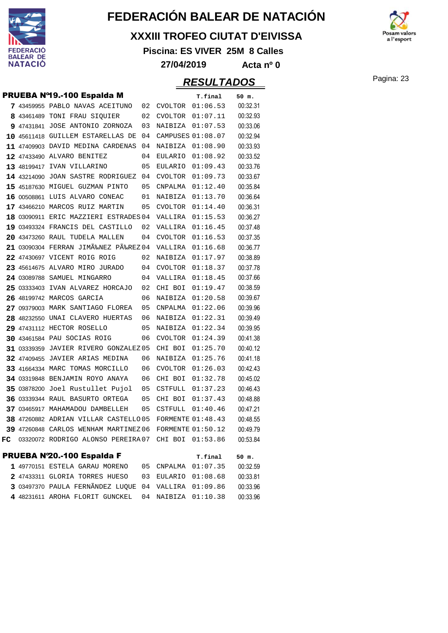

#### **XXXIII TROFEO CIUTAT D'EIVISSA**

**Piscina: ES VIVER 25M 8 Calles**



#### **27/04/2019 Acta nº 0**

### Pagina: 23 **RESULTADOS**

PRUEBA Nº20.-100 Espalda F **T.final 50 m.**

|    | PRUEBA Nº19.-100 Espalda M            |    |                          | T.final  | 50 m.    |
|----|---------------------------------------|----|--------------------------|----------|----------|
|    | 7 43459955 PABLO NAVAS ACEITUNO       | 02 | CVOLTOR                  | 01:06.53 | 00:32.31 |
|    | 8 43461489 TONI FRAU SIQUIER          | 02 | CVOLTOR                  | 01:07.11 | 00:32.93 |
|    | 9 47431841 JOSE ANTONIO ZORNOZA       | 03 | NAIBIZA                  | 01:07.53 | 00:33.06 |
|    | 10 45611418 GUILLEM ESTARELLAS DE     | 04 | CAMPUSES 01:08.07        |          | 00:32.94 |
|    | 11 47409903 DAVID MEDINA CARDENAS     | 04 | NAIBIZA                  | 01:08.90 | 00:33.93 |
|    | 12 47433490 ALVARO BENITEZ            | 04 | <b>EULARIO</b>           | 01:08.92 | 00:33.52 |
|    | 13 48199417 IVAN VILLARINO            | 05 | EULARIO                  | 01:09.43 | 00:33.76 |
|    | 14 43214090 JOAN SASTRE RODRIGUEZ     | 04 | CVOLTOR                  | 01:09.73 | 00:33.67 |
|    | 15 45187630 MIGUEL GUZMAN PINTO       | 05 | CNPALMA                  | 01:12.40 | 00:35.84 |
|    | 16 00508861 LUIS ALVARO CONEAC        | 01 | NAIBIZA                  | 01:13.70 | 00:36.64 |
|    | 17 43466210 MARCOS RUIZ MARTIN        | 05 | <b>CVOLTOR</b>           | 01:14.40 | 00:36.31 |
|    | 18 03090911 ERIC MAZZIERI ESTRADES 04 |    | VALLIRA                  | 01:15.53 | 00:36.27 |
|    | 19 03493324 FRANCIS DEL CASTILLO      | 02 | VALLIRA                  | 01:16.45 | 00:37.48 |
|    | 20 43473260 RAUL TUDELA MALLEN        | 04 | <b>CVOLTOR</b>           | 01:16.53 | 00:37.35 |
|    | 21 03090304 FERRAN JIMÉNEZ PÉREZ 04   |    | VALLIRA                  | 01:16.68 | 00:36.77 |
|    | 22 47430697 VICENT ROIG ROIG          | 02 | NAIBIZA                  | 01:17.97 | 00:38.89 |
|    | 23 45614675 ALVARO MIRO JURADO        | 04 | CVOLTOR                  | 01:18.37 | 00:37.78 |
|    | 24 03089788 SAMUEL MINGARRO           | 04 | VALLIRA                  | 01:18.45 | 00:37.66 |
|    | 25 03333403 IVAN ALVAREZ HORCAJO      | 02 | CHI BOI                  | 01:19.47 | 00:38.59 |
|    | 26 48199742 MARCOS GARCIA             | 06 | NAIBIZA                  | 01:20.58 | 00:39.67 |
|    | 27 09379003 MARK SANTIAGO FLOREA      | 05 | CNPALMA                  | 01:22.06 | 00:39.96 |
|    | 28 48232550 UNAI CLAVERO HUERTAS      | 06 | NAIBIZA                  | 01:22.31 | 00:39.49 |
|    | 29 47431112 HECTOR ROSELLO            | 05 | NAIBIZA                  | 01:22.34 | 00:39.95 |
|    | 30 43461584 PAU SOCIAS ROIG           | 06 | CVOLTOR                  | 01:24.39 | 00:41.38 |
|    | 31 03339359 JAVIER RIVERO GONZALEZ 05 |    | CHI BOI                  | 01:25.70 | 00:40.12 |
|    | 32 47409455 JAVIER ARIAS MEDINA       | 06 | NAIBIZA                  | 01:25.76 | 00:41.18 |
|    | 33 41664334 MARC TOMAS MORCILLO       | 06 | <b>CVOLTOR</b>           | 01:26.03 | 00:42.43 |
|    | 34 03319848 BENJAMIN ROYO ANAYA       | 06 | CHI BOI                  | 01:32.78 | 00:45.02 |
|    | 35 03878200 Joel Rustullet Pujol      | 05 | CSTFULL                  | 01:37.23 | 00:46.43 |
|    | 36 03339344 RAUL BASURTO ORTEGA       | 05 | CHI BOI                  | 01:37.43 | 00:48.88 |
|    | 37 03465917 MAHAMADOU DAMBELLEH       | 05 | CSTFULL                  | 01:40.46 | 00:47.21 |
|    | 38 47260882 ADRIAN VILLAR CASTELLO 05 |    | <b>FORMENTE 01:48.43</b> |          | 00:48.55 |
|    | 39 47260848 CARLOS WENHAM MARTINEZ 06 |    | <b>FORMENTE 01:50.12</b> |          | 00:49.79 |
| FC | 03320072 RODRIGO ALONSO PEREIRA 07    |    | CHI BOI                  | 01:53.86 | 00:53.84 |
|    |                                       |    |                          |          |          |

|  |  | PRUEBA N'20.-100 Espalda F |
|--|--|----------------------------|
|--|--|----------------------------|

|  | 1 49770151 ESTELA GARAU MORENO 05 CNPALMA 01:07.35   |  | 00:32.59 |
|--|------------------------------------------------------|--|----------|
|  | 2 47433311 GLORIA TORRES HUESO 03 EULARIO 01:08.68   |  | 00:33.81 |
|  | 3 03497370 PAULA FERNÃNDEZ LUOUE 04 VALLIRA 01:09.86 |  | 00:33.96 |
|  | 4 48231611 AROHA FLORIT GUNCKEL 04 NAIBIZA 01:10.38  |  | 00:33.96 |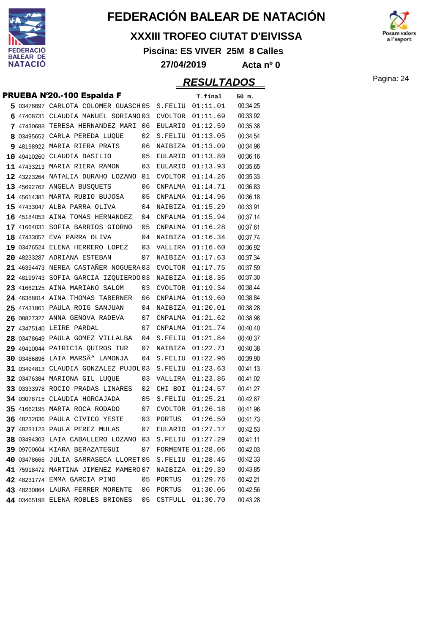

#### **XXXIII TROFEO CIUTAT D'EIVISSA**

**Piscina: ES VIVER 25M 8 Calles**



**27/04/2019 Acta nº 0**

|  | PRUEBA N'20.-100 Espalda F            |    |         | T.final                  | 50 m.    |
|--|---------------------------------------|----|---------|--------------------------|----------|
|  | 5 03478697 CARLOTA COLOMER GUASCH 05  |    | S.FELIU | 01:11.01                 | 00:34.25 |
|  | 6 47408731 CLAUDIA MANUEL SORIANO 03  |    | CVOLTOR | 01:11.69                 | 00:33.92 |
|  | 7 47430688 TERESA HERNANDEZ MARI      | 06 | EULARIO | 01:12.59                 | 00:35.38 |
|  | 8 03495652 CARLA PEREDA LUQUE         | 02 | S.FELIU | 01:13.05                 | 00:34.54 |
|  | 9 48198922 MARIA RIERA PRATS          | 06 | NAIBIZA | 01:13.09                 | 00:34.96 |
|  | 10 49410260 CLAUDIA BASILIO           | 05 | EULARIO | 01:13.80                 | 00:36.16 |
|  | 11 47433213 MARIA RIERA RAMON         | 03 | EULARIO | 01:13.93                 | 00:35.65 |
|  | 12 43223264 NATALIA DURAHO LOZANO     | 01 | CVOLTOR | 01:14.26                 | 00:35.33 |
|  | 13 45692762 ANGELA BUSQUETS           | 06 | CNPALMA | 01:14.71                 | 00:36.83 |
|  | 14 45614381 MARTA RUBIO BUJOSA        | 05 | CNPALMA | 01:14.96                 | 00:36.18 |
|  | 15 47433047 ALBA PARRA OLIVA          | 04 | NAIBIZA | 01:15.29                 | 00:33.91 |
|  | 16 45184053 AINA TOMAS HERNANDEZ      | 04 | CNPALMA | 01:15.94                 | 00:37.14 |
|  | 17 41664031 SOFIA BARRIOS GIORNO      | 05 | CNPALMA | 01:16.28                 | 00:37.61 |
|  | 18 47433057 EVA PARRA OLIVA           | 04 | NAIBIZA | 01:16.34                 | 00:37.74 |
|  | 19 03476524 ELENA HERRERO LOPEZ       | 03 | VALLIRA | 01:16.60                 | 00:36.92 |
|  | 20 48233287 ADRIANA ESTEBAN           | 07 | NAIBIZA | 01:17.63                 | 00:37.34 |
|  | 21 46394473 NEREA CASTAÑER NOGUERA 03 |    | CVOLTOR | 01:17.75                 | 00:37.59 |
|  | 22 48199743 SOFIA GARCIA IZQUIERDO 03 |    | NAIBIZA | 01:18.35                 | 00:37.30 |
|  | 23 41662125 AINA MARIANO SALOM        | 03 | CVOLTOR | 01:19.34                 | 00:38.44 |
|  | 24 46388014 AINA THOMAS TABERNER      | 06 | CNPALMA | 01:19.60                 | 00:38.84 |
|  | 25 47431861 PAULA ROIG SANJUAN        | 04 | NAIBIZA | 01:20.01                 | 00:38.28 |
|  | 26 08827327 ANNA GENOVA RADEVA        | 07 | CNPALMA | 01:21.62                 | 00:38.98 |
|  | 27 43475140 LEIRE PARDAL              | 07 | CNPALMA | 01:21.74                 | 00:40.40 |
|  | 28 03478649 PAULA GOMEZ VILLALBA      | 04 | S.FELIU | 01:21.84                 | 00:40.37 |
|  | 29 49410044 PATRICIA QUIROS TUR       | 07 | NAIBIZA | 01:22.71                 | 00:40.38 |
|  | 30 03486896 LAIA MARSÃ" LAMONJA       | 04 | S.FELIU | 01:22.96                 | 00:39.90 |
|  | 31 03494813 CLAUDIA GONZALEZ PUJOL 03 |    | S.FELIU | 01:23.63                 | 00:41.13 |
|  | 32 03476384 MARIONA GIL LUQUE         | 03 | VALLIRA | 01:23.86                 | 00:41.02 |
|  | 33 03333978 ROCIO PRADAS LINARES      | 02 | CHI BOI | 01:24.57                 | 00:41.27 |
|  | 34 03078715 CLAUDIA HORCAJADA         | 05 | S.FELIU | 01:25.21                 | 00:42.87 |
|  | 35 41662195 MARTA ROCA RODADO         | 07 | CVOLTOR | 01:26.18                 | 00:41.96 |
|  | 36 48232036 PAULA CIVICO YESTE        | 03 | PORTUS  | 01:26.50                 | 00:41.73 |
|  | 37 48231123 PAULA PEREZ MULAS         | 07 | EULARIO | 01:27.17                 | 00:42.53 |
|  | 38 03494303 LAIA CABALLERO LOZANO 03  |    | S.FELIU | 01:27.29                 | 00:41.11 |
|  | 39 09700604 KIARA BERAZATEGUI         | 07 |         | <b>FORMENTE 01:28.06</b> | 00:42.03 |
|  | 40 03478666 JULIA SARRASECA LLORET 05 |    | S.FELIU | 01:28.46                 | 00:42.33 |
|  | 41 75918472 MARTINA JIMENEZ MAMERO 07 |    | NAIBIZA | 01:29.39                 | 00:43.85 |
|  | 42 48231774 EMMA GARCIA PINO          | 05 | PORTUS  | 01:29.76                 | 00:42.21 |
|  | 43 48230864 LAURA FERRER MORENTE      | 06 | PORTUS  | 01:30.06                 | 00:42.56 |
|  | 44 03465198 ELENA ROBLES BRIONES      | 05 | CSTFULL | 01:30.70                 | 00:43.28 |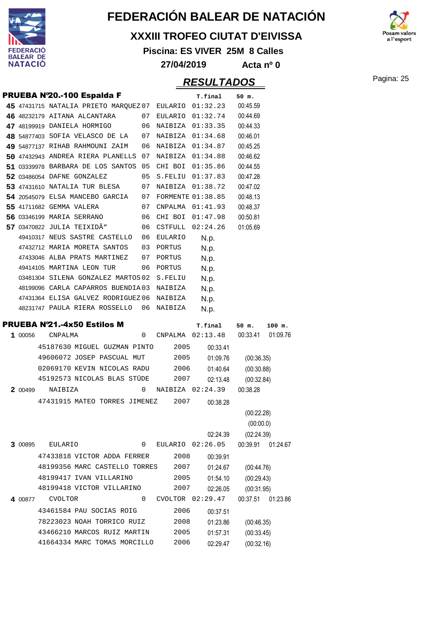

#### **XXXIII TROFEO CIUTAT D'EIVISSA**

**Piscina: ES VIVER 25M 8 Calles**



### Pagina: 25 **RESULTADOS**

**27/04/2019 Acta nº 0**

| PRUEBA N'20.-100 Espalda F            |                            |                                                             |    |                | T.final                      | 50 m.                    |          |
|---------------------------------------|----------------------------|-------------------------------------------------------------|----|----------------|------------------------------|--------------------------|----------|
| 45 47431715 NATALIA PRIETO MARQUEZ 07 |                            |                                                             |    |                | EULARIO 01:32.23             | 00:45.59                 |          |
| 46 48232179 AITANA ALCANTARA          |                            |                                                             | 07 | EULARIO        | 01:32.74                     | 00:44.69                 |          |
| 47 48199919 DANIELA HORMIGO           |                            |                                                             | 06 | NAIBIZA        | 01:33.35                     | 00:44.33                 |          |
| 48 54877403 SOFIA VELASCO DE LA       |                            |                                                             | 07 | NAIBIZA        | 01:34.68                     | 00:46.01                 |          |
| 49 54877137 RIHAB RAHMOUNI ZAIM       |                            |                                                             | 06 | NAIBIZA        | 01:34.87                     | 00:45.25                 |          |
| 50 47432943 ANDREA RIERA PLANELLS     |                            |                                                             | 07 | NAIBIZA        | 01:34.88                     | 00:46.62                 |          |
| 51 03339978 BARBARA DE LOS SANTOS     |                            |                                                             | 05 | CHI BOI        | 01:35.86                     | 00:44.55                 |          |
| 52 03486054 DAFNE GONZALEZ            |                            |                                                             | 05 | S.FELIU        | 01:37.83                     | 00:47.28                 |          |
| 53 47431610 NATALIA TUR BLESA         |                            |                                                             | 07 | NAIBIZA        | 01:38.72                     | 00:47.02                 |          |
| 54 20545079 ELSA MANCEBO GARCIA       |                            |                                                             | 07 |                | <b>FORMENTE 01:38.85</b>     | 00:48.13                 |          |
| 55 41711682 GEMMA VALERA              |                            |                                                             | 07 | CNPALMA        | 01:41.93                     | 00:48.37                 |          |
| 56 03346199 MARIA SERRANO             |                            |                                                             | 06 | CHI BOI        | 01:47.98                     | 00:50.81                 |          |
| 57 03470822 JULIA TEIXIDÃ"            |                            |                                                             | 06 | CSTFULL        | 02:24.26                     | 01:05.69                 |          |
|                                       |                            | 49410317 NEUS SASTRE CASTELLO                               | 06 | <b>EULARIO</b> | N.p.                         |                          |          |
|                                       |                            | 47432712 MARIA MORETA SANTOS                                | 03 | PORTUS         | N.p.                         |                          |          |
|                                       |                            | 47433046 ALBA PRATS MARTINEZ                                | 07 | PORTUS         | N.p.                         |                          |          |
|                                       |                            | 49414105 MARTINA LEON TUR                                   | 06 | PORTUS         | N.p.                         |                          |          |
|                                       |                            | 03481304 SILENA GONZALEZ MARTOS 02                          |    | S.FELIU        | N.p.                         |                          |          |
|                                       |                            | 48199096 CARLA CAPARROS BUENDIA03                           |    | NAIBIZA        | N.p.                         |                          |          |
|                                       |                            | 47431364 ELISA GALVEZ RODRIGUEZ 06                          |    | <b>NAIBIZA</b> | N.p.                         |                          |          |
|                                       |                            | 48231747 PAULA RIERA ROSSELLO                               | 06 | NAIBIZA        | N.p.                         |                          |          |
| <b>PRUEBA Nº21.-4x50 Estilos M</b>    |                            |                                                             |    |                | T.final                      | 50 m.                    | $100$ m. |
| 1 00056                               | CNPALMA                    |                                                             | 0  | CNPALMA        | 02:13.48                     | 00:33.41                 | 01:09.76 |
|                                       |                            | 45187630 MIGUEL GUZMAN PINTO                                |    | 2005           | 00:33.41                     |                          |          |
|                                       |                            | 49606072 JOSEP PASCUAL MUT                                  |    | 2005           | 01:09.76                     | (00:36.35)               |          |
|                                       |                            | 02069170 KEVIN NICOLAS RADU                                 |    | 2006           | 01:40.64                     | (00:30.88)               |          |
|                                       |                            | 45192573 NICOLAS BLAS STÜDE                                 |    | 2007           | 02:13.48                     | (00:32.84)               |          |
| 2 00499                               | NAIBIZA                    |                                                             | 0  |                | NAIBIZA 02:24.39             | 00:38.28                 |          |
|                                       |                            | 47431915 MATEO TORRES JIMENEZ                               |    | 2007           | 00:38.28                     |                          |          |
|                                       |                            |                                                             |    |                |                              | (00:22.28)               |          |
|                                       |                            |                                                             |    |                |                              | (00:00.0)                |          |
|                                       |                            |                                                             |    |                | 02:24.39                     | (02:24.39)               |          |
| 3 00895                               | <b>EULARIO</b>             |                                                             | 0  |                | EULARIO 02:26.05             | 00:39.91                 | 01:24.67 |
|                                       |                            | 47433818 VICTOR ADDA FERRER                                 |    | 2008           | 00:39.91                     |                          |          |
|                                       |                            | 48199356 MARC CASTELLO TORRES                               |    | 2007           | 01:24.67                     | (00:44.76)               |          |
|                                       |                            | 48199417 IVAN VILLARINO                                     |    | 2005           |                              | (00:29.43)               |          |
|                                       |                            | 48199418 VICTOR VILLARINO                                   |    | 2007           | 01:54.10                     |                          |          |
|                                       |                            |                                                             | 0  |                | 02:26.05<br>CVOLTOR 02:29.47 | (00:31.95)               |          |
| 4 00877                               | <b>CVOLTOR</b>             |                                                             |    |                |                              | 00:37.51                 | 01:23.86 |
|                                       |                            | 43461584 PAU SOCIAS ROIG                                    |    | 2006           | 00:37.51                     |                          |          |
|                                       | 78223023 NOAH TORRICO RUIZ |                                                             |    | 2008           | 01:23.86                     | (00:46.35)               |          |
|                                       |                            |                                                             |    |                |                              |                          |          |
|                                       |                            | 43466210 MARCOS RUIZ MARTIN<br>41664334 MARC TOMAS MORCILLO |    | 2005<br>2006   | 01:57.31<br>02:29.47         | (00:33.45)<br>(00:32.16) |          |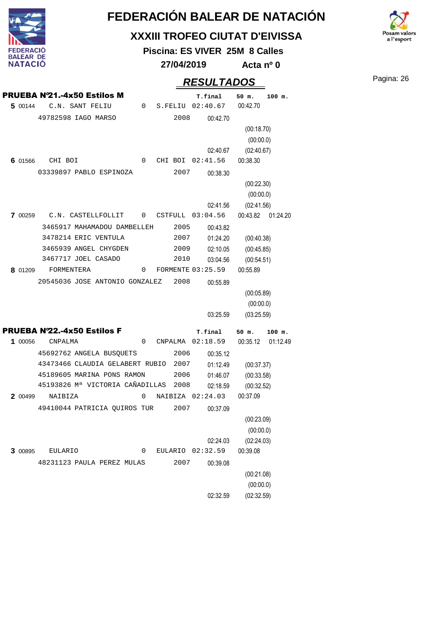

#### **XXXIII TROFEO CIUTAT D'EIVISSA**

**Piscina: ES VIVER 25M 8 Calles**



**27/04/2019 Acta nº 0**

### Pagina: 26 **RESULTADOS**

PRUEBA Nº21.-4x50 Estilos M **T.final 50 m. 100 m.** C.N. SANT FELIU 0 S.FELIU 02:40.67 00:42.70 49782598 IAGO MARSO 2008  **5** 00:42.70 02:40.67 (00:18.70) (00:00.0) (02:40.67) CHI BOI 0 CHI BOI 02:41.56 00:38.30 03339897 PABLO ESPINOZA 2007  **6** 00:38.30 02:41.56 (00:22.30) (00:00.0) (02:41.56) C.N. CASTELLFOLLIT 0 CSTFULL 03:04.56 00:43.82 01:24.20 3465917 MAHAMADOU DAMBELLEH 3478214 ERIC VENTULA 3465939 ANGEL CHYGDEN 3467717 JOEL CASADO 2005 2007 2009 2010  **7** 00:43.82 01:24.20 02:10.05 03:04.56 (00:40.38) (00:45.85) (00:54.51) FORMENTERA 0 FORMENTE 03:25.59 00:55.89 20545036 JOSE ANTONIO GONZALEZ 2008  **8** 00:55.89 03:25.59 (00:05.89) (00:00.0) (03:25.59) PRUEBA Nº22.-4x50 Estilos F **T.final 50 m. 100 m.** 00056 CNPALMA 0 CNPALMA 02:18.59 00:35.12 01:12.49 45692762 ANGELA BUSQUETS 43473466 CLAUDIA GELABERT RUBIO 2007 45189605 MARINA PONS RAMON 45193826 Mª VICTORIA CAÑADILLAS 2008 2006 2006  **1** 00:35.12 01:12.49 01:46.07 02:18.59 (00:37.37) (00:33.58) (00:32.52) 00499 NAIBIZA 0 NAIBIZA 02:24.03 00:37.09 49410044 PATRICIA QUIROS TUR 2007  **2** 00:37.09 02:24.03 (00:23.09) (00:00.0) (02:24.03) EULARIO 0 0 EULARIO 02:32.59 00:39.08 48231123 PAULA PEREZ MULAS 2007  **3** 00:39.08 02:32.59 (00:21.08) (00:00.0) (02:32.59)

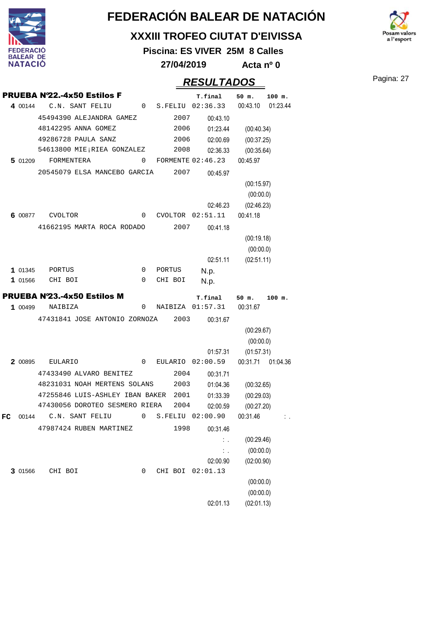

#### **XXXIII TROFEO CIUTAT D'EIVISSA**

**Piscina: ES VIVER 25M 8 Calles**

**27/04/2019 Acta nº 0**

### Pagina: 27 **RESULTADOS**

 $\mathbf{a}$  l'esport

|    |         | <b>PRUEBA Nº22.-4x50 Estilos F</b>   |                |         |         | T.final             | 50 m.                   | $100$ m.          |
|----|---------|--------------------------------------|----------------|---------|---------|---------------------|-------------------------|-------------------|
|    | 4 00144 | C.N. SANT FELIU                      | $\overline{0}$ |         |         | S.FELIU 02:36.33    | 00:43.10                | 01:23.44          |
|    |         | 45494390 ALEJANDRA GAMEZ             |                |         | 2007    | 00:43.10            |                         |                   |
|    |         | 48142295 ANNA GOMEZ                  |                |         | 2006    | 01:23.44            | (00:40.34)              |                   |
|    |         | 49286728 PAULA SANZ                  |                |         | 2006    | 02:00.69            | (00:37.25)              |                   |
|    |         | 54613800 MIE; RIEA GONZALEZ          |                |         | 2008    | 02:36.33            | (00:35.64)              |                   |
|    | 5 01209 | FORMENTERA                           | 0              |         |         | FORMENTE $02:46.23$ | 00:45.97                |                   |
|    |         | 20545079 ELSA MANCEBO GARCIA         |                |         | 2007    | 00:45.97            |                         |                   |
|    |         |                                      |                |         |         |                     | (00:15.97)              |                   |
|    |         |                                      |                |         |         |                     | (00:00.0)               |                   |
|    |         |                                      |                |         |         | 02:46.23            | (02:46.23)              |                   |
|    | 6 00877 | CVOLTOR                              | 0              |         |         | CVOLTOR 02:51.11    | 00:41.18                |                   |
|    |         | 41662195 MARTA ROCA RODADO           |                |         | 2007    | 00:41.18            |                         |                   |
|    |         |                                      |                |         |         |                     | (00:19.18)              |                   |
|    |         |                                      |                |         |         |                     | (00:00.0)               |                   |
|    |         |                                      |                |         |         | 02:51.11            | (02:51.11)              |                   |
|    | 1 01345 | PORTUS                               | 0              | PORTUS  |         | N.p.                |                         |                   |
|    | 1 01566 | CHI BOI                              | 0              |         | CHI BOI | N.p.                |                         |                   |
|    |         | <b>PRUEBA Nº23.-4x50 Estilos M</b>   |                |         |         | T.final             | 50 m.                   | 100 m.            |
|    | 1 00499 | NAIBIZA                              | 0              |         |         | NAIBIZA 01:57.31    | 00:31.67                |                   |
|    |         | 47431841 JOSE ANTONIO ZORNOZA        |                |         | 2003    | 00:31.67            |                         |                   |
|    |         |                                      |                |         |         |                     | (00:29.67)              |                   |
|    |         |                                      |                |         |         |                     | (00:00.0)               |                   |
|    |         |                                      |                |         |         | 01:57.31            | (01:57.31)              |                   |
|    | 2 00895 | <b>EULARIO</b>                       | 0              |         | EULARIO | 02:00.59            |                         | 00:31.71 01:04.36 |
|    |         | 47433490 ALVARO BENITEZ              |                |         | 2004    | 00:31.71            |                         |                   |
|    |         | 48231031 NOAH MERTENS SOLANS         |                |         | 2003    | 01:04.36            | (00:32.65)              |                   |
|    |         | 47255846 LUIS-ASHLEY IBAN BAKER 2001 |                |         |         | 01:33.39            | (00:29.03)              |                   |
|    |         | 47430056 DOROTEO SESMERO RIERA       |                |         | 2004    | 02:00.59            | (00:27.20)              |                   |
| FC | 00144   | C.N. SANT FELIU                      | 0              |         |         | S.FELIU 02:00.90    | 00:31.46                |                   |
|    |         | 47987424 RUBEN MARTINEZ              |                |         | 1998    | 00:31.46            |                         |                   |
|    |         |                                      |                |         |         | $\mathbb{Z}$        | (00:29.46)              |                   |
|    |         |                                      |                |         |         | $\mathbb{Z}^2$ .    | (00:00.0)               |                   |
|    |         |                                      |                |         |         | 02:00.90            | (02:00.90)              |                   |
|    |         |                                      | 0              | CHI BOI |         | 02:01.13            |                         |                   |
|    | 3 01566 | CHI BOI                              |                |         |         |                     |                         |                   |
|    |         |                                      |                |         |         |                     | (00:00.0)               |                   |
|    |         |                                      |                |         |         | 02:01.13            | (00:00.0)<br>(02:01.13) |                   |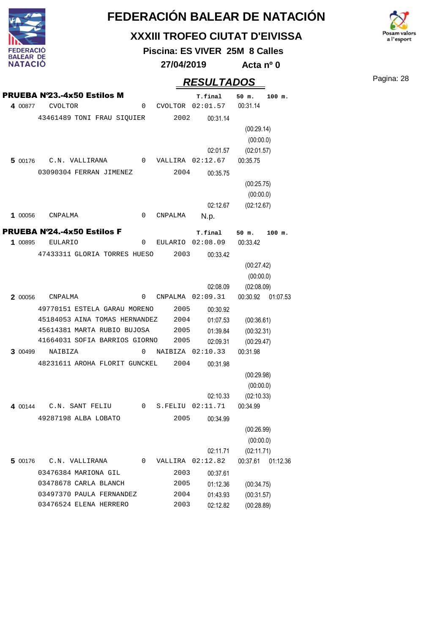

#### **XXXIII TROFEO CIUTAT D'EIVISSA**

**Piscina: ES VIVER 25M 8 Calles**

**27/04/2019 Acta nº 0**

## Pagina: 28 **RESULTADOS**

a l'esport

|         | <b>PRUEBA Nº23.-4x50 Estilos M</b>            |             |              | T.final                      | 50 m.                    | $100$ m. |
|---------|-----------------------------------------------|-------------|--------------|------------------------------|--------------------------|----------|
| 4 00877 | <b>CVOLTOR</b>                                | 0           |              | CVOLTOR 02:01.57             | 00:31.14                 |          |
|         | 43461489 TONI FRAU SIQUIER                    |             | 2002         | 00:31.14                     |                          |          |
|         |                                               |             |              |                              | (00:29.14)               |          |
|         |                                               |             |              |                              | (00:00.0)                |          |
|         |                                               |             |              | 02:01.57                     | (02:01.57)               |          |
|         | 5 00176 C.N. VALLIRANA                        | $\mathbf 0$ |              | VALLIRA 02:12.67             | 00:35.75                 |          |
|         | 03090304 FERRAN JIMENEZ                       |             | 2004         | 00:35.75                     |                          |          |
|         |                                               |             |              |                              | (00:25.75)               |          |
|         |                                               |             |              |                              | (00:00.0)                |          |
|         |                                               |             |              | 02:12.67                     | (02:12.67)               |          |
| 1 00056 | CNPALMA                                       | 0           | CNPALMA      | N.p.                         |                          |          |
|         | <b>PRUEBA Nº24.-4x50 Estilos F</b>            |             |              | T.final                      | 50 m.                    | $100$ m. |
| 1 00895 | <b>EULARIO</b>                                | $\mathbf 0$ |              | EULARIO 02:08.09             | 00:33.42                 |          |
|         | 47433311 GLORIA TORRES HUESO                  |             | 2003         | 00:33.42                     |                          |          |
|         |                                               |             |              |                              | (00:27.42)               |          |
|         |                                               |             |              |                              | (00:00.0)                |          |
|         |                                               |             |              | 02:08.09                     | (02:08.09)               |          |
| 2 00056 | CNPALMA                                       | 0           |              | $CNPALMA$ $02:09.31$         | 00:30.92 01:07.53        |          |
|         | 49770151 ESTELA GARAU MORENO                  |             | 2005         | 00:30.92                     |                          |          |
|         | 45184053 AINA TOMAS HERNANDEZ                 |             | 2004         | 01:07.53                     | (00:36.61)               |          |
|         | 45614381 MARTA RUBIO BUJOSA                   |             | 2005         | 01:39.84                     | (00:32.31)               |          |
|         | 41664031 SOFIA BARRIOS GIORNO 2005            |             |              | 02:09.31                     | (00:29.47)               |          |
| 3 00499 | NAIBIZA                                       | 0           |              | NAIBIZA 02:10.33             | 00:31.98                 |          |
|         | 48231611 AROHA FLORIT GUNCKEL                 |             | 2004         | 00:31.98                     |                          |          |
|         |                                               |             |              |                              | (00:29.98)               |          |
|         |                                               |             |              |                              | (00:00.0)                |          |
|         |                                               |             |              | 02:10.33                     | (02:10.33)               |          |
|         | 4 00144 C.N. SANT FELIU                       | $\mathbf 0$ | S.FELIU      | 02:11.71                     | 00:34.99                 |          |
|         | 49287198 ALBA LOBATO                          |             | 2005         | 00:34.99                     |                          |          |
|         |                                               |             |              |                              | (00:26.99)               |          |
|         |                                               |             |              |                              | (00:00.0)                |          |
|         |                                               | 0           |              | 02:11.71<br>VALLIRA 02:12.82 | (02:11.71)<br>00:37.61   |          |
| 5 00176 | C.N. VALLIRANA                                |             |              |                              |                          | 01:12.36 |
|         | 03476384 MARIONA GIL<br>03478678 CARLA BLANCH |             | 2003         | 00:37.61                     |                          |          |
|         | 03497370 PAULA FERNANDEZ                      |             | 2005<br>2004 | 01:12.36<br>01:43.93         | (00:34.75)               |          |
|         | 03476524 ELENA HERRERO                        |             | 2003         | 02:12.82                     | (00:31.57)<br>(00:28.89) |          |
|         |                                               |             |              |                              |                          |          |